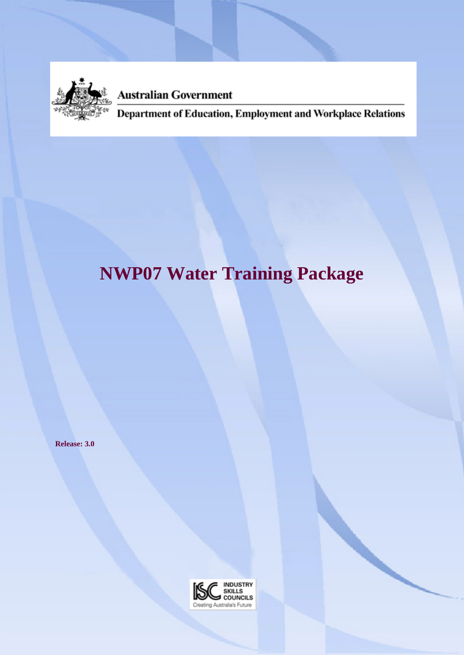

**Australian Government** 

Department of Education, Employment and Workplace Relations

# **NWP07 Water Training Package**

**Release: 3.0**

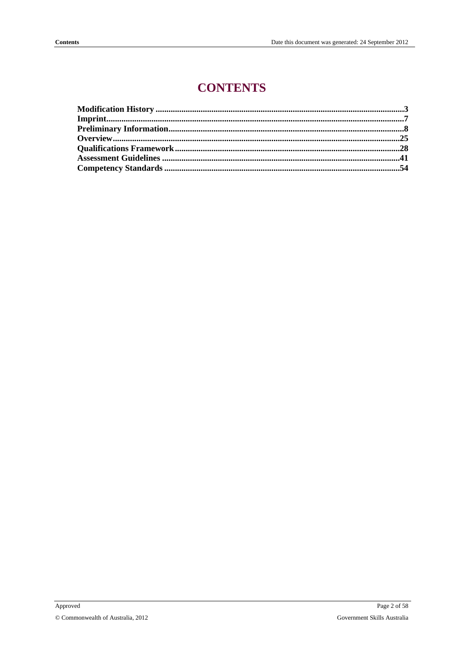## **CONTENTS**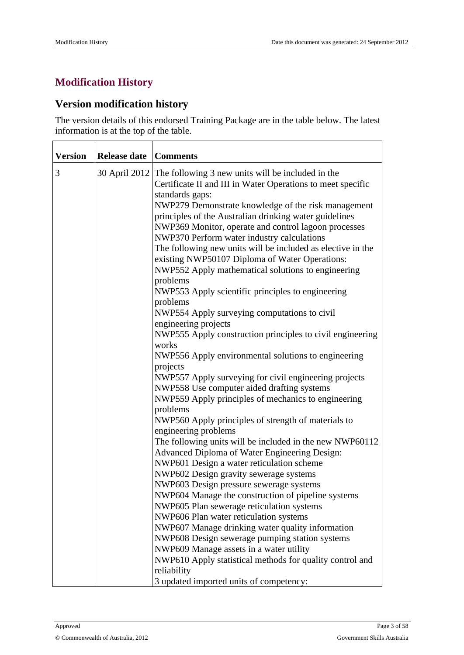## <span id="page-2-0"></span>**Modification History**

## **Version modification history**

The version details of this endorsed Training Package are in the table below. The latest information is at the top of the table.

| <b>Version</b> | <b>Release date</b> | Comments                                                                                                                                                                                                                                                                                                                                                                                                                                                                                                                                                                                                                                                                                                                                                                                                                                                                                                                                                                                                                                                                                                                                                                                                                                                                                                                                                                                                                                                                                                                                                                                                 |
|----------------|---------------------|----------------------------------------------------------------------------------------------------------------------------------------------------------------------------------------------------------------------------------------------------------------------------------------------------------------------------------------------------------------------------------------------------------------------------------------------------------------------------------------------------------------------------------------------------------------------------------------------------------------------------------------------------------------------------------------------------------------------------------------------------------------------------------------------------------------------------------------------------------------------------------------------------------------------------------------------------------------------------------------------------------------------------------------------------------------------------------------------------------------------------------------------------------------------------------------------------------------------------------------------------------------------------------------------------------------------------------------------------------------------------------------------------------------------------------------------------------------------------------------------------------------------------------------------------------------------------------------------------------|
| 3              |                     | 30 April 2012 The following 3 new units will be included in the<br>Certificate II and III in Water Operations to meet specific<br>standards gaps:<br>NWP279 Demonstrate knowledge of the risk management<br>principles of the Australian drinking water guidelines<br>NWP369 Monitor, operate and control lagoon processes<br>NWP370 Perform water industry calculations<br>The following new units will be included as elective in the<br>existing NWP50107 Diploma of Water Operations:<br>NWP552 Apply mathematical solutions to engineering<br>problems<br>NWP553 Apply scientific principles to engineering<br>problems<br>NWP554 Apply surveying computations to civil<br>engineering projects<br>NWP555 Apply construction principles to civil engineering<br>works<br>NWP556 Apply environmental solutions to engineering<br>projects<br>NWP557 Apply surveying for civil engineering projects<br>NWP558 Use computer aided drafting systems<br>NWP559 Apply principles of mechanics to engineering<br>problems<br>NWP560 Apply principles of strength of materials to<br>engineering problems<br>The following units will be included in the new NWP60112<br>Advanced Diploma of Water Engineering Design:<br>NWP601 Design a water reticulation scheme<br>NWP602 Design gravity sewerage systems<br>NWP603 Design pressure sewerage systems<br>NWP604 Manage the construction of pipeline systems<br>NWP605 Plan sewerage reticulation systems<br>NWP606 Plan water reticulation systems<br>NWP607 Manage drinking water quality information<br>NWP608 Design sewerage pumping station systems |
|                |                     | NWP609 Manage assets in a water utility<br>NWP610 Apply statistical methods for quality control and<br>reliability                                                                                                                                                                                                                                                                                                                                                                                                                                                                                                                                                                                                                                                                                                                                                                                                                                                                                                                                                                                                                                                                                                                                                                                                                                                                                                                                                                                                                                                                                       |
|                |                     | 3 updated imported units of competency:                                                                                                                                                                                                                                                                                                                                                                                                                                                                                                                                                                                                                                                                                                                                                                                                                                                                                                                                                                                                                                                                                                                                                                                                                                                                                                                                                                                                                                                                                                                                                                  |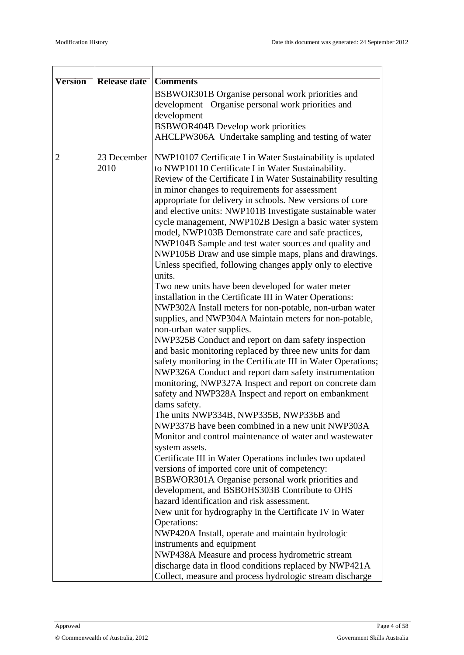|                     | <b>Comments</b>                                                                                                                                                                                                                                                                                                                                                                                                                                                                                                                                                                                                                                                                                                                                                                                                                                                                                                                                                                                                                                                                                                                                                                                                                                                                                                                                                                                                                                                                                                                                                                                                                                                                                                                                                                                                                                                                                                                                                                                                                             |
|---------------------|---------------------------------------------------------------------------------------------------------------------------------------------------------------------------------------------------------------------------------------------------------------------------------------------------------------------------------------------------------------------------------------------------------------------------------------------------------------------------------------------------------------------------------------------------------------------------------------------------------------------------------------------------------------------------------------------------------------------------------------------------------------------------------------------------------------------------------------------------------------------------------------------------------------------------------------------------------------------------------------------------------------------------------------------------------------------------------------------------------------------------------------------------------------------------------------------------------------------------------------------------------------------------------------------------------------------------------------------------------------------------------------------------------------------------------------------------------------------------------------------------------------------------------------------------------------------------------------------------------------------------------------------------------------------------------------------------------------------------------------------------------------------------------------------------------------------------------------------------------------------------------------------------------------------------------------------------------------------------------------------------------------------------------------------|
|                     | BSBWOR301B Organise personal work priorities and                                                                                                                                                                                                                                                                                                                                                                                                                                                                                                                                                                                                                                                                                                                                                                                                                                                                                                                                                                                                                                                                                                                                                                                                                                                                                                                                                                                                                                                                                                                                                                                                                                                                                                                                                                                                                                                                                                                                                                                            |
|                     | development Organise personal work priorities and                                                                                                                                                                                                                                                                                                                                                                                                                                                                                                                                                                                                                                                                                                                                                                                                                                                                                                                                                                                                                                                                                                                                                                                                                                                                                                                                                                                                                                                                                                                                                                                                                                                                                                                                                                                                                                                                                                                                                                                           |
|                     | development                                                                                                                                                                                                                                                                                                                                                                                                                                                                                                                                                                                                                                                                                                                                                                                                                                                                                                                                                                                                                                                                                                                                                                                                                                                                                                                                                                                                                                                                                                                                                                                                                                                                                                                                                                                                                                                                                                                                                                                                                                 |
|                     | <b>BSBWOR404B Develop work priorities</b>                                                                                                                                                                                                                                                                                                                                                                                                                                                                                                                                                                                                                                                                                                                                                                                                                                                                                                                                                                                                                                                                                                                                                                                                                                                                                                                                                                                                                                                                                                                                                                                                                                                                                                                                                                                                                                                                                                                                                                                                   |
|                     | AHCLPW306A Undertake sampling and testing of water                                                                                                                                                                                                                                                                                                                                                                                                                                                                                                                                                                                                                                                                                                                                                                                                                                                                                                                                                                                                                                                                                                                                                                                                                                                                                                                                                                                                                                                                                                                                                                                                                                                                                                                                                                                                                                                                                                                                                                                          |
| 23 December<br>2010 | NWP10107 Certificate I in Water Sustainability is updated<br>to NWP10110 Certificate I in Water Sustainability.<br>Review of the Certificate I in Water Sustainability resulting<br>in minor changes to requirements for assessment<br>appropriate for delivery in schools. New versions of core<br>and elective units: NWP101B Investigate sustainable water<br>cycle management, NWP102B Design a basic water system<br>model, NWP103B Demonstrate care and safe practices,<br>NWP104B Sample and test water sources and quality and<br>NWP105B Draw and use simple maps, plans and drawings.<br>Unless specified, following changes apply only to elective<br>units.<br>Two new units have been developed for water meter<br>installation in the Certificate III in Water Operations:<br>NWP302A Install meters for non-potable, non-urban water<br>supplies, and NWP304A Maintain meters for non-potable,<br>non-urban water supplies.<br>NWP325B Conduct and report on dam safety inspection<br>and basic monitoring replaced by three new units for dam<br>safety monitoring in the Certificate III in Water Operations;<br>NWP326A Conduct and report dam safety instrumentation<br>monitoring, NWP327A Inspect and report on concrete dam<br>safety and NWP328A Inspect and report on embankment<br>dams safety.<br>The units NWP334B, NWP335B, NWP336B and<br>NWP337B have been combined in a new unit NWP303A<br>Monitor and control maintenance of water and wastewater<br>system assets.<br>Certificate III in Water Operations includes two updated<br>versions of imported core unit of competency:<br>BSBWOR301A Organise personal work priorities and<br>development, and BSBOHS303B Contribute to OHS<br>hazard identification and risk assessment.<br>New unit for hydrography in the Certificate IV in Water<br>Operations:<br>NWP420A Install, operate and maintain hydrologic<br>instruments and equipment<br>NWP438A Measure and process hydrometric stream<br>discharge data in flood conditions replaced by NWP421A |
|                     | Collect, measure and process hydrologic stream discharge                                                                                                                                                                                                                                                                                                                                                                                                                                                                                                                                                                                                                                                                                                                                                                                                                                                                                                                                                                                                                                                                                                                                                                                                                                                                                                                                                                                                                                                                                                                                                                                                                                                                                                                                                                                                                                                                                                                                                                                    |
|                     | <b>Release date</b>                                                                                                                                                                                                                                                                                                                                                                                                                                                                                                                                                                                                                                                                                                                                                                                                                                                                                                                                                                                                                                                                                                                                                                                                                                                                                                                                                                                                                                                                                                                                                                                                                                                                                                                                                                                                                                                                                                                                                                                                                         |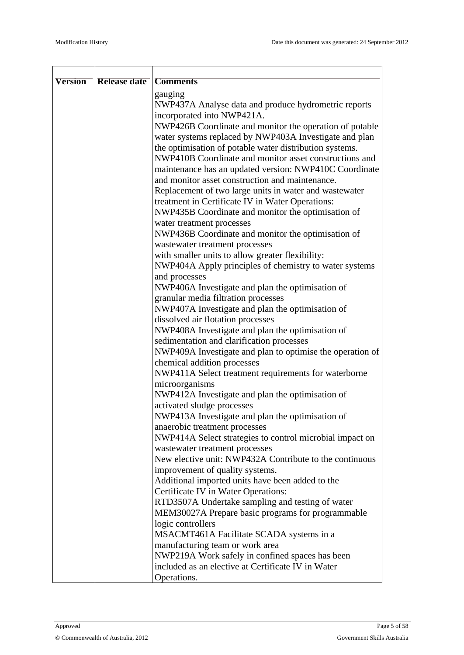| <b>Version</b> | <b>Release date</b> | <b>Comments</b>                                                        |
|----------------|---------------------|------------------------------------------------------------------------|
|                |                     |                                                                        |
|                |                     | gauging<br>NWP437A Analyse data and produce hydrometric reports        |
|                |                     | incorporated into NWP421A.                                             |
|                |                     | NWP426B Coordinate and monitor the operation of potable                |
|                |                     | water systems replaced by NWP403A Investigate and plan                 |
|                |                     | the optimisation of potable water distribution systems.                |
|                |                     | NWP410B Coordinate and monitor asset constructions and                 |
|                |                     | maintenance has an updated version: NWP410C Coordinate                 |
|                |                     | and monitor asset construction and maintenance.                        |
|                |                     | Replacement of two large units in water and wastewater                 |
|                |                     | treatment in Certificate IV in Water Operations:                       |
|                |                     | NWP435B Coordinate and monitor the optimisation of                     |
|                |                     | water treatment processes                                              |
|                |                     | NWP436B Coordinate and monitor the optimisation of                     |
|                |                     | wastewater treatment processes                                         |
|                |                     | with smaller units to allow greater flexibility:                       |
|                |                     | NWP404A Apply principles of chemistry to water systems                 |
|                |                     | and processes                                                          |
|                |                     | NWP406A Investigate and plan the optimisation of                       |
|                |                     | granular media filtration processes                                    |
|                |                     | NWP407A Investigate and plan the optimisation of                       |
|                |                     | dissolved air flotation processes                                      |
|                |                     | NWP408A Investigate and plan the optimisation of                       |
|                |                     | sedimentation and clarification processes                              |
|                |                     | NWP409A Investigate and plan to optimise the operation of              |
|                |                     | chemical addition processes                                            |
|                |                     | NWP411A Select treatment requirements for waterborne<br>microorganisms |
|                |                     | NWP412A Investigate and plan the optimisation of                       |
|                |                     | activated sludge processes                                             |
|                |                     | NWP413A Investigate and plan the optimisation of                       |
|                |                     | anaerobic treatment processes                                          |
|                |                     | NWP414A Select strategies to control microbial impact on               |
|                |                     | wastewater treatment processes                                         |
|                |                     | New elective unit: NWP432A Contribute to the continuous                |
|                |                     | improvement of quality systems.                                        |
|                |                     | Additional imported units have been added to the                       |
|                |                     | Certificate IV in Water Operations:                                    |
|                |                     | RTD3507A Undertake sampling and testing of water                       |
|                |                     | MEM30027A Prepare basic programs for programmable                      |
|                |                     | logic controllers                                                      |
|                |                     | MSACMT461A Facilitate SCADA systems in a                               |
|                |                     | manufacturing team or work area                                        |
|                |                     | NWP219A Work safely in confined spaces has been                        |
|                |                     | included as an elective at Certificate IV in Water                     |
|                |                     | Operations.                                                            |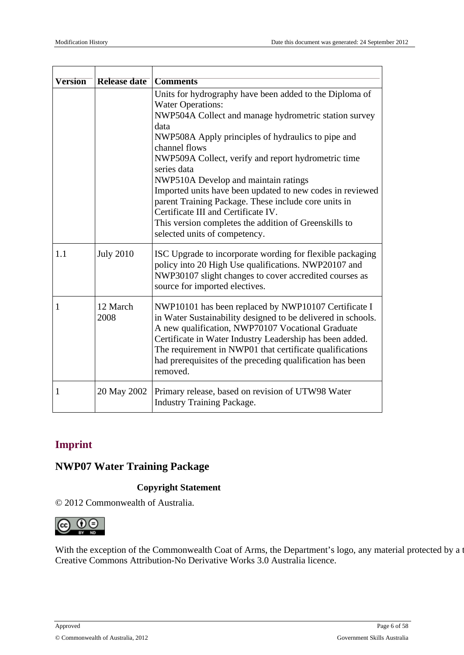| Version | <b>Release date</b> | <b>Comments</b>                                                                                                                                                                                                                                                                                                                                                            |
|---------|---------------------|----------------------------------------------------------------------------------------------------------------------------------------------------------------------------------------------------------------------------------------------------------------------------------------------------------------------------------------------------------------------------|
|         |                     | Units for hydrography have been added to the Diploma of<br><b>Water Operations:</b><br>NWP504A Collect and manage hydrometric station survey                                                                                                                                                                                                                               |
|         |                     | data<br>NWP508A Apply principles of hydraulics to pipe and<br>channel flows                                                                                                                                                                                                                                                                                                |
|         |                     | NWP509A Collect, verify and report hydrometric time<br>series data                                                                                                                                                                                                                                                                                                         |
|         |                     | NWP510A Develop and maintain ratings<br>Imported units have been updated to new codes in reviewed<br>parent Training Package. These include core units in<br>Certificate III and Certificate IV.<br>This version completes the addition of Greenskills to<br>selected units of competency.                                                                                 |
| 1.1     | <b>July 2010</b>    | ISC Upgrade to incorporate wording for flexible packaging<br>policy into 20 High Use qualifications. NWP20107 and<br>NWP30107 slight changes to cover accredited courses as<br>source for imported electives.                                                                                                                                                              |
| 1       | 12 March<br>2008    | NWP10101 has been replaced by NWP10107 Certificate I<br>in Water Sustainability designed to be delivered in schools.<br>A new qualification, NWP70107 Vocational Graduate<br>Certificate in Water Industry Leadership has been added.<br>The requirement in NWP01 that certificate qualifications<br>had prerequisites of the preceding qualification has been<br>removed. |
| 1       | 20 May 2002         | Primary release, based on revision of UTW98 Water<br><b>Industry Training Package.</b>                                                                                                                                                                                                                                                                                     |

## <span id="page-5-0"></span>**Imprint**

## **NWP07 Water Training Package**

#### **Copyright Statement**

© 2012 Commonwealth of Australia.



With the exception of the Commonwealth Coat of Arms, the Department's logo, any material protected by a Creative Commons Attribution-No Derivative Works 3.0 Australia licence.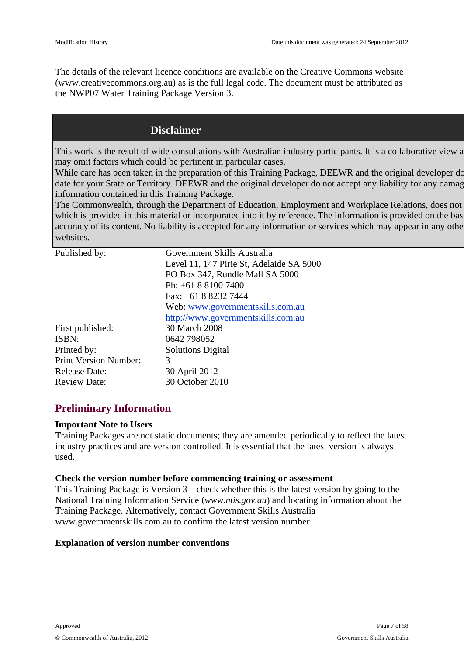The details of the relevalicenceconditions are available on the Creative Commons website (www.creativecommons.org.au) is the full legal code. The document must attributedas the NWP07 Water Training Package Vers8on

## **Disclaimer**

This workis the resulbf wide consultations with Australian industrupticipants. It is a ollaborative view may omitfactors which could bepertinent in particular cases.

While care has been taken in the preparation is Training Package, DEEWR and the original develop date for your State drerritory. DEEWR and he original developer do not accepty liability for any dama information contained in this Trainineackage.

The Commonwealth,throughthe Department detucation, Employment and Unitable and accept any does not any person for which is provided in this material or incorporated into it by reference. The information is provided or accuracy of its content. No ability is accepted for any information or services which may appear winth websites.

| Published by:                                                       | Government Skills Australia<br>Level 11, 147 Pirie St, delaide SA 5000<br>PO Box 347, Rundle Mall SA 5000<br>Ph: +61 8 8100 7400 |
|---------------------------------------------------------------------|----------------------------------------------------------------------------------------------------------------------------------|
|                                                                     | Fax: +61 8 8232 7444<br>Web: www.governmentskills.com.au                                                                         |
| First published:                                                    | http://www.governmentskills.com.au<br>30 March 2008                                                                              |
| ISBN:                                                               | 0642 798052<br>SolutionsDigital                                                                                                  |
| Printed by:<br><b>Print Version Number:</b><br><b>Release Date:</b> | 3<br>30 April 2012                                                                                                               |
| <b>Review Date:</b>                                                 | 30 October 2010                                                                                                                  |

## <span id="page-6-0"></span>Preliminary Information

#### Important Note to Users

Training Packages arent static documents; the yeamended periodically toreflect the latest industry practices and reversion controlled. It is essential thine latest versionis always used.

Check the version number before commencing trainingor assessment This Training Packagis Version  $3$  – check whether this is the latest version by going to the National Training Information Servidewww.ntis.gov.a) and locating information about the Training Package Alternatively, contact Government Skills Australia www.governmentskills.com.au to confirtine latest version number.

Explanation of version number conventions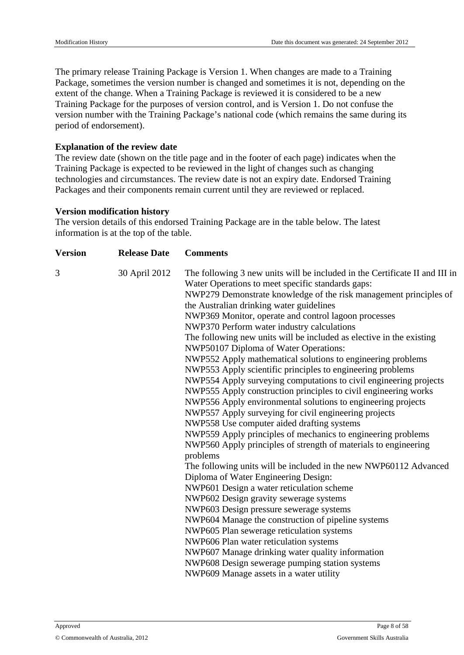The primary release Training Package is Version 1. When changes are made to a Training Package, sometimes the version number is changed and sometimes it is not, depending on the extent of the change. When a Training Package is reviewed it is considered to be a new Training Package for the purposes of version control, and is Version 1. Do not confuse the version number with the Training Package's national code (which remains the same during its period of endorsement).

#### **Explanation of the review date**

The review date (shown on the title page and in the footer of each page) indicates when the Training Package is expected to be reviewed in the light of changes such as changing technologies and circumstances. The review date is not an expiry date. Endorsed Training Packages and their components remain current until they are reviewed or replaced.

#### **Version modification history**

The version details of this endorsed Training Package are in the table below. The latest information is at the top of the table.

| <b>Version</b> | <b>Release Date</b> | <b>Comments</b>                                                                                                                                                                                                                                                                                                                                                                                                                                                                                                                                                                                                                                                                                                                                                                                                                                                                                                                                                                                                                                                                                                                                                                                                                                                                                                                                                                                                                                                                                                                                                                                                  |
|----------------|---------------------|------------------------------------------------------------------------------------------------------------------------------------------------------------------------------------------------------------------------------------------------------------------------------------------------------------------------------------------------------------------------------------------------------------------------------------------------------------------------------------------------------------------------------------------------------------------------------------------------------------------------------------------------------------------------------------------------------------------------------------------------------------------------------------------------------------------------------------------------------------------------------------------------------------------------------------------------------------------------------------------------------------------------------------------------------------------------------------------------------------------------------------------------------------------------------------------------------------------------------------------------------------------------------------------------------------------------------------------------------------------------------------------------------------------------------------------------------------------------------------------------------------------------------------------------------------------------------------------------------------------|
| 3              | 30 April 2012       | The following 3 new units will be included in the Certificate II and III in<br>Water Operations to meet specific standards gaps:<br>NWP279 Demonstrate knowledge of the risk management principles of<br>the Australian drinking water guidelines<br>NWP369 Monitor, operate and control lagoon processes<br>NWP370 Perform water industry calculations<br>The following new units will be included as elective in the existing<br>NWP50107 Diploma of Water Operations:<br>NWP552 Apply mathematical solutions to engineering problems<br>NWP553 Apply scientific principles to engineering problems<br>NWP554 Apply surveying computations to civil engineering projects<br>NWP555 Apply construction principles to civil engineering works<br>NWP556 Apply environmental solutions to engineering projects<br>NWP557 Apply surveying for civil engineering projects<br>NWP558 Use computer aided drafting systems<br>NWP559 Apply principles of mechanics to engineering problems<br>NWP560 Apply principles of strength of materials to engineering<br>problems<br>The following units will be included in the new NWP60112 Advanced<br>Diploma of Water Engineering Design:<br>NWP601 Design a water reticulation scheme<br>NWP602 Design gravity sewerage systems<br>NWP603 Design pressure sewerage systems<br>NWP604 Manage the construction of pipeline systems<br>NWP605 Plan sewerage reticulation systems<br>NWP606 Plan water reticulation systems<br>NWP607 Manage drinking water quality information<br>NWP608 Design sewerage pumping station systems<br>NWP609 Manage assets in a water utility |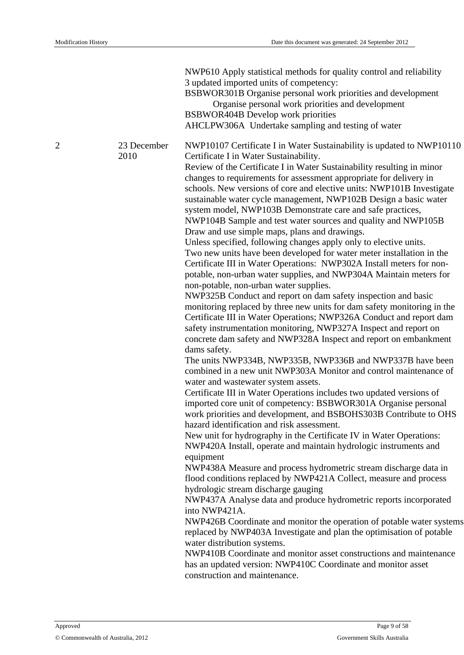NWP610 Apply statistical methods for quality control and reliability 3 updated imported units of competency: BSBWOR301B Organise personal work priorities and development

Organise personal work priorities and development BSBWOR404B Develop work priorities

AHCLPW306A Undertake sampling and testing of water

2 23 December 2010

NWP10107 Certificate I in Water Sustainability is updated to NWP10110 Certificate I in Water Sustainability.

Review of the Certificate I in Water Sustainability resulting in minor changes to requirements for assessment appropriate for delivery in schools. New versions of core and elective units: NWP101B Investigate sustainable water cycle management, NWP102B Design a basic water system model, NWP103B Demonstrate care and safe practices, NWP104B Sample and test water sources and quality and NWP105B Draw and use simple maps, plans and drawings.

Unless specified, following changes apply only to elective units. Two new units have been developed for water meter installation in the Certificate III in Water Operations: NWP302A Install meters for nonpotable, non-urban water supplies, and NWP304A Maintain meters for non-potable, non-urban water supplies.

NWP325B Conduct and report on dam safety inspection and basic monitoring replaced by three new units for dam safety monitoring in the Certificate III in Water Operations; NWP326A Conduct and report dam safety instrumentation monitoring, NWP327A Inspect and report on concrete dam safety and NWP328A Inspect and report on embankment dams safety.

The units NWP334B, NWP335B, NWP336B and NWP337B have been combined in a new unit NWP303A Monitor and control maintenance of water and wastewater system assets.

Certificate III in Water Operations includes two updated versions of imported core unit of competency: BSBWOR301A Organise personal work priorities and development, and BSBOHS303B Contribute to OHS hazard identification and risk assessment.

New unit for hydrography in the Certificate IV in Water Operations: NWP420A Install, operate and maintain hydrologic instruments and equipment

NWP438A Measure and process hydrometric stream discharge data in flood conditions replaced by NWP421A Collect, measure and process hydrologic stream discharge gauging

NWP437A Analyse data and produce hydrometric reports incorporated into NWP421A.

NWP426B Coordinate and monitor the operation of potable water systems replaced by NWP403A Investigate and plan the optimisation of potable water distribution systems.

NWP410B Coordinate and monitor asset constructions and maintenance has an updated version: NWP410C Coordinate and monitor asset construction and maintenance.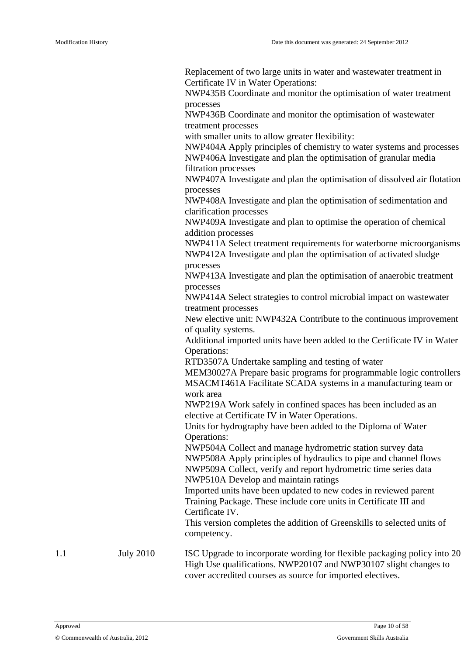Replacement of two large units in water and wastewater treatment in Certificate IV in Water Operations:

NWP435B Coordinate and monitor the optimisation of water treatment processes

NWP436B Coordinate and monitor the optimisation of wastewater treatment processes

with smaller units to allow greater flexibility:

NWP404A Apply principles of chemistry to water systems and processes NWP406A Investigate and plan the optimisation of granular media filtration processes

NWP407A Investigate and plan the optimisation of dissolved air flotation processes

NWP408A Investigate and plan the optimisation of sedimentation and clarification processes

NWP409A Investigate and plan to optimise the operation of chemical addition processes

NWP411A Select treatment requirements for waterborne microorganisms NWP412A Investigate and plan the optimisation of activated sludge processes

NWP413A Investigate and plan the optimisation of anaerobic treatment processes

NWP414A Select strategies to control microbial impact on wastewater treatment processes

New elective unit: NWP432A Contribute to the continuous improvement of quality systems.

Additional imported units have been added to the Certificate IV in Water Operations:

RTD3507A Undertake sampling and testing of water

MEM30027A Prepare basic programs for programmable logic controllers MSACMT461A Facilitate SCADA systems in a manufacturing team or work area

NWP219A Work safely in confined spaces has been included as an elective at Certificate IV in Water Operations.

Units for hydrography have been added to the Diploma of Water Operations:

NWP504A Collect and manage hydrometric station survey data NWP508A Apply principles of hydraulics to pipe and channel flows NWP509A Collect, verify and report hydrometric time series data NWP510A Develop and maintain ratings

Imported units have been updated to new codes in reviewed parent Training Package. These include core units in Certificate III and Certificate IV.

This version completes the addition of Greenskills to selected units of competency.

1.1 July 2010 ISC Upgrade to incorporate wording for flexible packaging policy into 20 High Use qualifications. NWP20107 and NWP30107 slight changes to cover accredited courses as source for imported electives.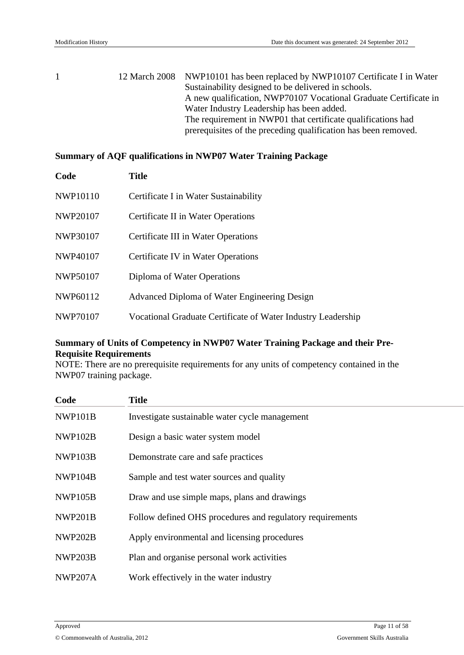|  | 12 March 2008 NWP10101 has been replaced by NWP10107 Certificate I in Water |
|--|-----------------------------------------------------------------------------|
|  | Sustainability designed to be delivered in schools.                         |
|  | A new qualification, NWP70107 Vocational Graduate Certificate in            |
|  | Water Industry Leadership has been added.                                   |
|  | The requirement in NWP01 that certificate qualifications had                |
|  | prerequisites of the preceding qualification has been removed.              |

#### **Summary of AQF qualifications in NWP07 Water Training Package**

| Code            | <b>Title</b>                                                 |
|-----------------|--------------------------------------------------------------|
| <b>NWP10110</b> | Certificate I in Water Sustainability                        |
| <b>NWP20107</b> | Certificate II in Water Operations                           |
| NWP30107        | Certificate III in Water Operations                          |
| <b>NWP40107</b> | Certificate IV in Water Operations                           |
| <b>NWP50107</b> | Diploma of Water Operations                                  |
| NWP60112        | Advanced Diploma of Water Engineering Design                 |
| NWP70107        | Vocational Graduate Certificate of Water Industry Leadership |
|                 |                                                              |

#### **Summary of Units of Competency in NWP07 Water Training Package and their Pre-Requisite Requirements**

NOTE: There are no prerequisite requirements for any units of competency contained in the NWP07 training package.

| Code           | <b>Title</b>                                              |
|----------------|-----------------------------------------------------------|
| NWP101B        | Investigate sustainable water cycle management            |
| NWP102B        | Design a basic water system model                         |
| NWP103B        | Demonstrate care and safe practices                       |
| NWP104B        | Sample and test water sources and quality                 |
| NWP105B        | Draw and use simple maps, plans and drawings              |
| NWP201B        | Follow defined OHS procedures and regulatory requirements |
| <b>NWP202B</b> | Apply environmental and licensing procedures              |
| NWP203B        | Plan and organise personal work activities                |
| <b>NWP207A</b> | Work effectively in the water industry                    |
|                |                                                           |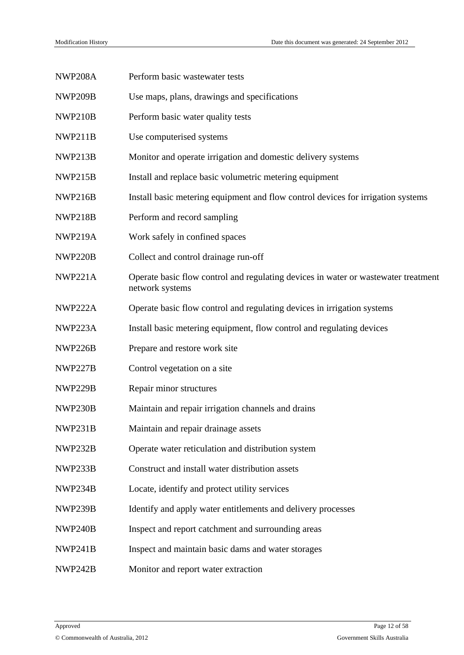| <b>NWP208A</b> | Perform basic wastewater tests                                                                        |
|----------------|-------------------------------------------------------------------------------------------------------|
| NWP209B        | Use maps, plans, drawings and specifications                                                          |
| NWP210B        | Perform basic water quality tests                                                                     |
| NWP211B        | Use computerised systems                                                                              |
| NWP213B        | Monitor and operate irrigation and domestic delivery systems                                          |
| NWP215B        | Install and replace basic volumetric metering equipment                                               |
| NWP216B        | Install basic metering equipment and flow control devices for irrigation systems                      |
| NWP218B        | Perform and record sampling                                                                           |
| <b>NWP219A</b> | Work safely in confined spaces                                                                        |
| NWP220B        | Collect and control drainage run-off                                                                  |
| <b>NWP221A</b> | Operate basic flow control and regulating devices in water or wastewater treatment<br>network systems |
| NWP222A        | Operate basic flow control and regulating devices in irrigation systems                               |
| NWP223A        | Install basic metering equipment, flow control and regulating devices                                 |
| NWP226B        | Prepare and restore work site                                                                         |
| NWP227B        | Control vegetation on a site                                                                          |
| NWP229B        | Repair minor structures                                                                               |
| NWP230B        | Maintain and repair irrigation channels and drains                                                    |
| NWP231B        | Maintain and repair drainage assets                                                                   |
| NWP232B        | Operate water reticulation and distribution system                                                    |
| NWP233B        | Construct and install water distribution assets                                                       |
| NWP234B        | Locate, identify and protect utility services                                                         |
| NWP239B        | Identify and apply water entitlements and delivery processes                                          |
| NWP240B        | Inspect and report catchment and surrounding areas                                                    |
| NWP241B        | Inspect and maintain basic dams and water storages                                                    |
| NWP242B        | Monitor and report water extraction                                                                   |
|                |                                                                                                       |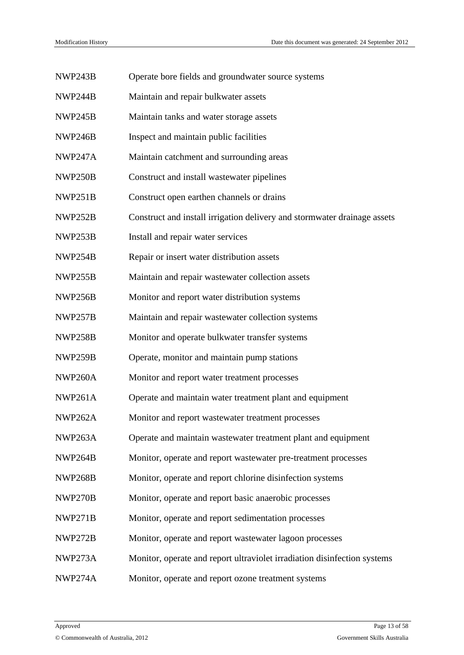| NWP243B        | Operate bore fields and groundwater source systems                       |
|----------------|--------------------------------------------------------------------------|
| NWP244B        | Maintain and repair bulkwater assets                                     |
| NWP245B        | Maintain tanks and water storage assets                                  |
| NWP246B        | Inspect and maintain public facilities                                   |
| NWP247A        | Maintain catchment and surrounding areas                                 |
| NWP250B        | Construct and install wastewater pipelines                               |
| NWP251B        | Construct open earthen channels or drains                                |
| NWP252B        | Construct and install irrigation delivery and stormwater drainage assets |
| NWP253B        | Install and repair water services                                        |
| NWP254B        | Repair or insert water distribution assets                               |
| NWP255B        | Maintain and repair wastewater collection assets                         |
| NWP256B        | Monitor and report water distribution systems                            |
| NWP257B        | Maintain and repair wastewater collection systems                        |
| NWP258B        | Monitor and operate bulkwater transfer systems                           |
| NWP259B        | Operate, monitor and maintain pump stations                              |
| <b>NWP260A</b> | Monitor and report water treatment processes                             |
| <b>NWP261A</b> | Operate and maintain water treatment plant and equipment                 |
| NWP262A        | Monitor and report wastewater treatment processes                        |
| NWP263A        | Operate and maintain wastewater treatment plant and equipment            |
| NWP264B        | Monitor, operate and report was tewater pre-treatment processes          |
| <b>NWP268B</b> | Monitor, operate and report chlorine disinfection systems                |
| NWP270B        | Monitor, operate and report basic anaerobic processes                    |
| NWP271B        | Monitor, operate and report sedimentation processes                      |
| NWP272B        | Monitor, operate and report wastewater lagoon processes                  |
| NWP273A        | Monitor, operate and report ultraviolet irradiation disinfection systems |
| NWP274A        | Monitor, operate and report ozone treatment systems                      |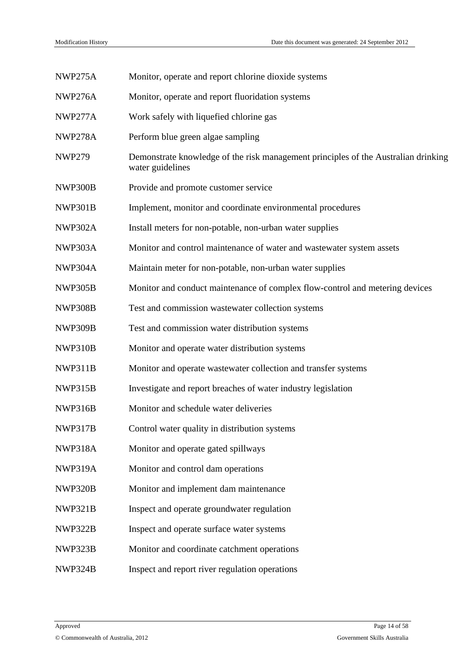| NWP275A       | Monitor, operate and report chlorine dioxide systems                                                   |
|---------------|--------------------------------------------------------------------------------------------------------|
| NWP276A       | Monitor, operate and report fluoridation systems                                                       |
| NWP277A       | Work safely with liquefied chlorine gas                                                                |
| NWP278A       | Perform blue green algae sampling                                                                      |
| <b>NWP279</b> | Demonstrate knowledge of the risk management principles of the Australian drinking<br>water guidelines |
| NWP300B       | Provide and promote customer service                                                                   |
| NWP301B       | Implement, monitor and coordinate environmental procedures                                             |
| NWP302A       | Install meters for non-potable, non-urban water supplies                                               |
| NWP303A       | Monitor and control maintenance of water and wastewater system assets                                  |
| NWP304A       | Maintain meter for non-potable, non-urban water supplies                                               |
| NWP305B       | Monitor and conduct maintenance of complex flow-control and metering devices                           |
| NWP308B       | Test and commission wastewater collection systems                                                      |
| NWP309B       | Test and commission water distribution systems                                                         |
| NWP310B       | Monitor and operate water distribution systems                                                         |
| NWP311B       | Monitor and operate wastewater collection and transfer systems                                         |
| NWP315B       | Investigate and report breaches of water industry legislation                                          |
| NWP316B       | Monitor and schedule water deliveries                                                                  |
| NWP317B       | Control water quality in distribution systems                                                          |
| NWP318A       | Monitor and operate gated spillways                                                                    |
| NWP319A       | Monitor and control dam operations                                                                     |
| NWP320B       | Monitor and implement dam maintenance                                                                  |
| NWP321B       | Inspect and operate groundwater regulation                                                             |
| NWP322B       | Inspect and operate surface water systems                                                              |
| NWP323B       | Monitor and coordinate catchment operations                                                            |
| NWP324B       | Inspect and report river regulation operations                                                         |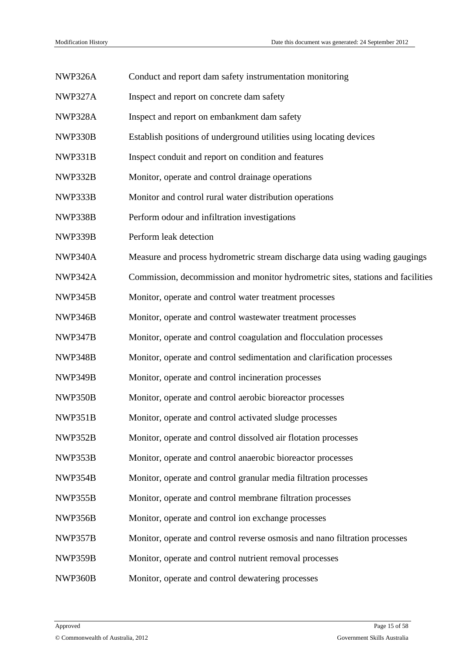| NWP326A        | Conduct and report dam safety instrumentation monitoring                        |
|----------------|---------------------------------------------------------------------------------|
| <b>NWP327A</b> | Inspect and report on concrete dam safety                                       |
| NWP328A        | Inspect and report on embankment dam safety                                     |
| NWP330B        | Establish positions of underground utilities using locating devices             |
| NWP331B        | Inspect conduit and report on condition and features                            |
| NWP332B        | Monitor, operate and control drainage operations                                |
| NWP333B        | Monitor and control rural water distribution operations                         |
| NWP338B        | Perform odour and infiltration investigations                                   |
| NWP339B        | Perform leak detection                                                          |
| NWP340A        | Measure and process hydrometric stream discharge data using wading gaugings     |
| NWP342A        | Commission, decommission and monitor hydrometric sites, stations and facilities |
| NWP345B        | Monitor, operate and control water treatment processes                          |
| NWP346B        | Monitor, operate and control wastewater treatment processes                     |
| NWP347B        | Monitor, operate and control coagulation and flocculation processes             |
| NWP348B        | Monitor, operate and control sedimentation and clarification processes          |
| NWP349B        | Monitor, operate and control incineration processes                             |
| NWP350B        | Monitor, operate and control aerobic bioreactor processes                       |
| NWP351B        | Monitor, operate and control activated sludge processes                         |
| NWP352B        | Monitor, operate and control dissolved air flotation processes                  |
| NWP353B        | Monitor, operate and control anaerobic bioreactor processes                     |
| NWP354B        | Monitor, operate and control granular media filtration processes                |
| NWP355B        | Monitor, operate and control membrane filtration processes                      |
| NWP356B        | Monitor, operate and control ion exchange processes                             |
| NWP357B        | Monitor, operate and control reverse osmosis and nano filtration processes      |
| NWP359B        | Monitor, operate and control nutrient removal processes                         |
| NWP360B        | Monitor, operate and control dewatering processes                               |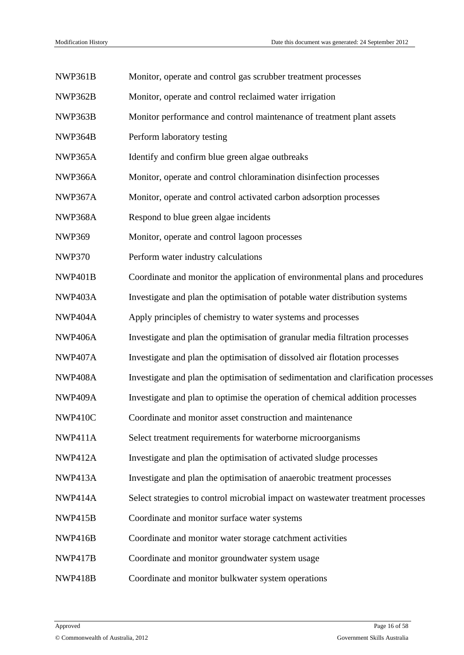| NWP361B        | Monitor, operate and control gas scrubber treatment processes                      |
|----------------|------------------------------------------------------------------------------------|
| NWP362B        | Monitor, operate and control reclaimed water irrigation                            |
| NWP363B        | Monitor performance and control maintenance of treatment plant assets              |
| NWP364B        | Perform laboratory testing                                                         |
| NWP365A        | Identify and confirm blue green algae outbreaks                                    |
| NWP366A        | Monitor, operate and control chloramination disinfection processes                 |
| NWP367A        | Monitor, operate and control activated carbon adsorption processes                 |
| NWP368A        | Respond to blue green algae incidents                                              |
| <b>NWP369</b>  | Monitor, operate and control lagoon processes                                      |
| <b>NWP370</b>  | Perform water industry calculations                                                |
| NWP401B        | Coordinate and monitor the application of environmental plans and procedures       |
| NWP403A        | Investigate and plan the optimisation of potable water distribution systems        |
| NWP404A        | Apply principles of chemistry to water systems and processes                       |
| NWP406A        | Investigate and plan the optimisation of granular media filtration processes       |
| NWP407A        | Investigate and plan the optimisation of dissolved air flotation processes         |
| <b>NWP408A</b> | Investigate and plan the optimisation of sedimentation and clarification processes |
| <b>NWP409A</b> | Investigate and plan to optimise the operation of chemical addition processes      |
| NWP410C        | Coordinate and monitor asset construction and maintenance                          |
| NWP411A        | Select treatment requirements for waterborne microorganisms                        |
| <b>NWP412A</b> | Investigate and plan the optimisation of activated sludge processes                |
| NWP413A        | Investigate and plan the optimisation of anaerobic treatment processes             |
| NWP414A        | Select strategies to control microbial impact on wastewater treatment processes    |
| NWP415B        | Coordinate and monitor surface water systems                                       |
| NWP416B        | Coordinate and monitor water storage catchment activities                          |
| NWP417B        | Coordinate and monitor groundwater system usage                                    |
| NWP418B        | Coordinate and monitor bulkwater system operations                                 |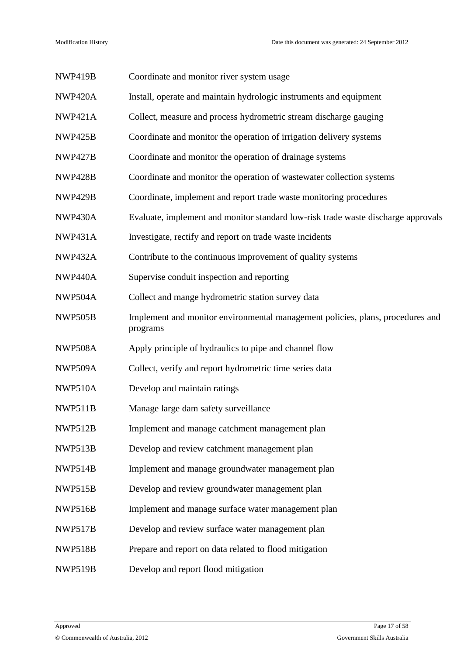| NWP419B        | Coordinate and monitor river system usage                                                  |
|----------------|--------------------------------------------------------------------------------------------|
| <b>NWP420A</b> | Install, operate and maintain hydrologic instruments and equipment                         |
| <b>NWP421A</b> | Collect, measure and process hydrometric stream discharge gauging                          |
| NWP425B        | Coordinate and monitor the operation of irrigation delivery systems                        |
| NWP427B        | Coordinate and monitor the operation of drainage systems                                   |
| NWP428B        | Coordinate and monitor the operation of wastewater collection systems                      |
| NWP429B        | Coordinate, implement and report trade waste monitoring procedures                         |
| NWP430A        | Evaluate, implement and monitor standard low-risk trade waste discharge approvals          |
| <b>NWP431A</b> | Investigate, rectify and report on trade waste incidents                                   |
| <b>NWP432A</b> | Contribute to the continuous improvement of quality systems                                |
| NWP440A        | Supervise conduit inspection and reporting                                                 |
| NWP504A        | Collect and mange hydrometric station survey data                                          |
| NWP505B        | Implement and monitor environmental management policies, plans, procedures and<br>programs |
| NWP508A        | Apply principle of hydraulics to pipe and channel flow                                     |
| NWP509A        | Collect, verify and report hydrometric time series data                                    |
| <b>NWP510A</b> | Develop and maintain ratings                                                               |
| NWP511B        | Manage large dam safety surveillance                                                       |
| <b>NWP512B</b> | Implement and manage catchment management plan                                             |
| NWP513B        | Develop and review catchment management plan                                               |
| NWP514B        | Implement and manage groundwater management plan                                           |
| NWP515B        | Develop and review groundwater management plan                                             |
| NWP516B        | Implement and manage surface water management plan                                         |
| NWP517B        | Develop and review surface water management plan                                           |
| <b>NWP518B</b> | Prepare and report on data related to flood mitigation                                     |
| NWP519B        | Develop and report flood mitigation                                                        |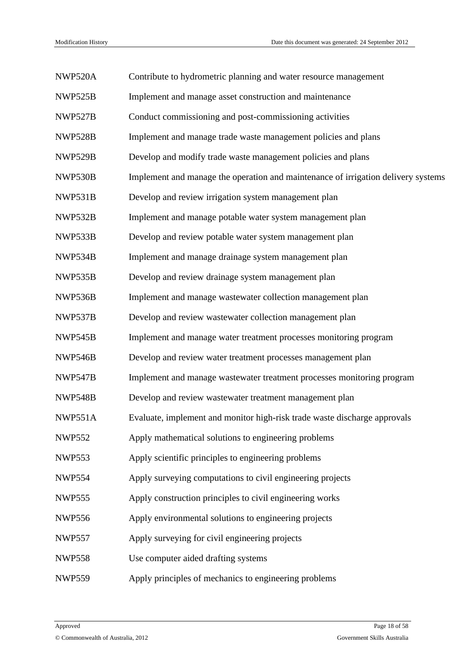| <b>NWP520A</b> | Contribute to hydrometric planning and water resource management                  |
|----------------|-----------------------------------------------------------------------------------|
| NWP525B        | Implement and manage asset construction and maintenance                           |
| NWP527B        | Conduct commissioning and post-commissioning activities                           |
| <b>NWP528B</b> | Implement and manage trade waste management policies and plans                    |
| NWP529B        | Develop and modify trade waste management policies and plans                      |
| NWP530B        | Implement and manage the operation and maintenance of irrigation delivery systems |
| NWP531B        | Develop and review irrigation system management plan                              |
| NWP532B        | Implement and manage potable water system management plan                         |
| NWP533B        | Develop and review potable water system management plan                           |
| NWP534B        | Implement and manage drainage system management plan                              |
| NWP535B        | Develop and review drainage system management plan                                |
| NWP536B        | Implement and manage wastewater collection management plan                        |
| NWP537B        | Develop and review wastewater collection management plan                          |
| NWP545B        | Implement and manage water treatment processes monitoring program                 |
| NWP546B        | Develop and review water treatment processes management plan                      |
| NWP547B        | Implement and manage wastewater treatment processes monitoring program            |
| <b>NWP548B</b> | Develop and review wastewater treatment management plan                           |
| <b>NWP551A</b> | Evaluate, implement and monitor high-risk trade waste discharge approvals         |
| <b>NWP552</b>  | Apply mathematical solutions to engineering problems                              |
| <b>NWP553</b>  | Apply scientific principles to engineering problems                               |
| <b>NWP554</b>  | Apply surveying computations to civil engineering projects                        |
| <b>NWP555</b>  | Apply construction principles to civil engineering works                          |
| <b>NWP556</b>  | Apply environmental solutions to engineering projects                             |
| <b>NWP557</b>  | Apply surveying for civil engineering projects                                    |
| <b>NWP558</b>  | Use computer aided drafting systems                                               |
| <b>NWP559</b>  | Apply principles of mechanics to engineering problems                             |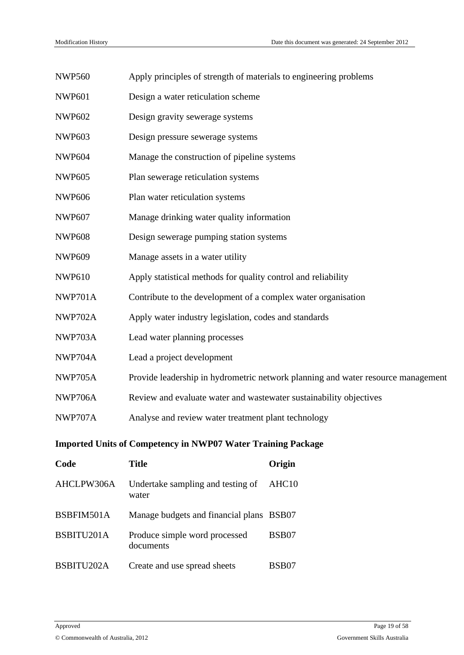| <b>NWP560</b>  | Apply principles of strength of materials to engineering problems                |                   |  |  |
|----------------|----------------------------------------------------------------------------------|-------------------|--|--|
| <b>NWP601</b>  | Design a water reticulation scheme                                               |                   |  |  |
| <b>NWP602</b>  | Design gravity sewerage systems                                                  |                   |  |  |
| <b>NWP603</b>  | Design pressure sewerage systems                                                 |                   |  |  |
| <b>NWP604</b>  | Manage the construction of pipeline systems                                      |                   |  |  |
| <b>NWP605</b>  | Plan sewerage reticulation systems                                               |                   |  |  |
| <b>NWP606</b>  | Plan water reticulation systems                                                  |                   |  |  |
| <b>NWP607</b>  | Manage drinking water quality information                                        |                   |  |  |
| <b>NWP608</b>  | Design sewerage pumping station systems                                          |                   |  |  |
| <b>NWP609</b>  | Manage assets in a water utility                                                 |                   |  |  |
| <b>NWP610</b>  | Apply statistical methods for quality control and reliability                    |                   |  |  |
| NWP701A        | Contribute to the development of a complex water organisation                    |                   |  |  |
| NWP702A        | Apply water industry legislation, codes and standards                            |                   |  |  |
| NWP703A        | Lead water planning processes                                                    |                   |  |  |
| NWP704A        | Lead a project development                                                       |                   |  |  |
| NWP705A        | Provide leadership in hydrometric network planning and water resource management |                   |  |  |
| <b>NWP706A</b> | Review and evaluate water and wastewater sustainability objectives               |                   |  |  |
| NWP707A        | Analyse and review water treatment plant technology                              |                   |  |  |
|                | <b>Imported Units of Competency in NWP07 Water Training Package</b>              |                   |  |  |
| Code           | <b>Title</b>                                                                     | Origin            |  |  |
| AHCLPW306A     | Undertake sampling and testing of<br>water                                       | AHC <sub>10</sub> |  |  |
| BSBFIM501A     | Manage budgets and financial plans BSB07                                         |                   |  |  |
|                |                                                                                  |                   |  |  |

BSB07

BSBITU201A Produce simple word processed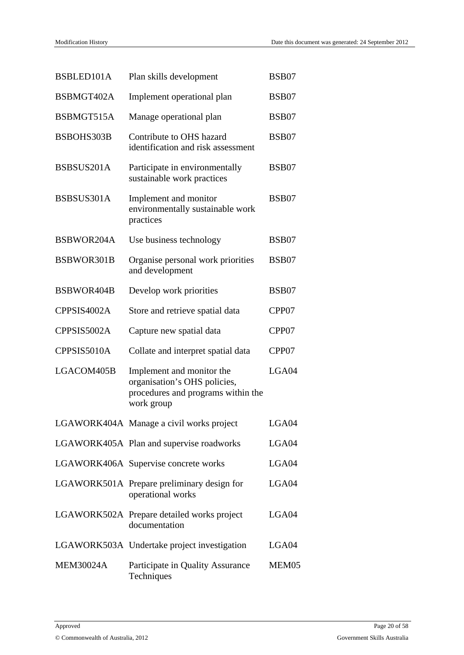| BSBLED101A       | Plan skills development                                                                                       | <b>BSB07</b> |
|------------------|---------------------------------------------------------------------------------------------------------------|--------------|
| BSBMGT402A       | Implement operational plan                                                                                    | <b>BSB07</b> |
| BSBMGT515A       | Manage operational plan                                                                                       | <b>BSB07</b> |
| BSBOHS303B       | Contribute to OHS hazard<br>identification and risk assessment                                                | BSB07        |
| BSBSUS201A       | Participate in environmentally<br>sustainable work practices                                                  | BSB07        |
| BSBSUS301A       | Implement and monitor<br>environmentally sustainable work<br>practices                                        | BSB07        |
| BSBWOR204A       | Use business technology                                                                                       | BSB07        |
| BSBWOR301B       | Organise personal work priorities<br>and development                                                          | BSB07        |
| BSBWOR404B       | Develop work priorities                                                                                       | BSB07        |
| CPPSIS4002A      | Store and retrieve spatial data                                                                               | CPP07        |
| CPPSIS5002A      | Capture new spatial data                                                                                      | CPP07        |
| CPPSIS5010A      | Collate and interpret spatial data                                                                            | CPP07        |
| LGACOM405B       | Implement and monitor the<br>organisation's OHS policies,<br>procedures and programs within the<br>work group | LGA04        |
|                  | LGAWORK404A Manage a civil works project                                                                      | LGA04        |
|                  | LGAWORK405A Plan and supervise roadworks                                                                      | LGA04        |
|                  | LGAWORK406A Supervise concrete works                                                                          | LGA04        |
|                  | LGAWORK501A Prepare preliminary design for<br>operational works                                               | LGA04        |
|                  | LGAWORK502A Prepare detailed works project<br>documentation                                                   | LGA04        |
|                  | LGAWORK503A Undertake project investigation                                                                   | LGA04        |
| <b>MEM30024A</b> | Participate in Quality Assurance<br>Techniques                                                                | MEM05        |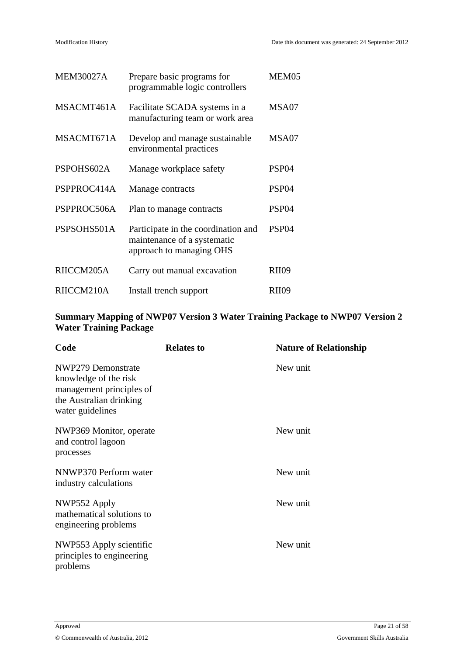| <b>MEM30027A</b> | Prepare basic programs for<br>programmable logic controllers                                   | MEM05             |
|------------------|------------------------------------------------------------------------------------------------|-------------------|
| MSACMT461A       | Facilitate SCADA systems in a<br>manufacturing team or work area                               | MSA07             |
| MSACMT671A       | Develop and manage sustainable.<br>environmental practices                                     | MSA07             |
| PSPOHS602A       | Manage workplace safety                                                                        | PSP <sub>04</sub> |
| PSPPROC414A      | Manage contracts                                                                               | PSP <sub>04</sub> |
| PSPPROC506A      | Plan to manage contracts                                                                       | PSP <sub>04</sub> |
| PSPSOHS501A      | Participate in the coordination and<br>maintenance of a systematic<br>approach to managing OHS | PSP <sub>04</sub> |
| RIICCM205A       | Carry out manual excavation                                                                    | <b>RII09</b>      |
| RIICCM210A       | Install trench support                                                                         | RII09             |

#### **Summary Mapping of NWP07 Version 3 Water Training Package to NWP07 Version 2 Water Training Package**

| Code                                                                                                                   | <b>Relates to</b> | <b>Nature of Relationship</b> |
|------------------------------------------------------------------------------------------------------------------------|-------------------|-------------------------------|
| NWP279 Demonstrate<br>knowledge of the risk<br>management principles of<br>the Australian drinking<br>water guidelines |                   | New unit                      |
| NWP369 Monitor, operate<br>and control lagoon<br>processes                                                             |                   | New unit                      |
| NNWP370 Perform water<br>industry calculations                                                                         |                   | New unit                      |
| NWP552 Apply<br>mathematical solutions to<br>engineering problems                                                      |                   | New unit                      |
| NWP553 Apply scientific<br>principles to engineering<br>problems                                                       |                   | New unit                      |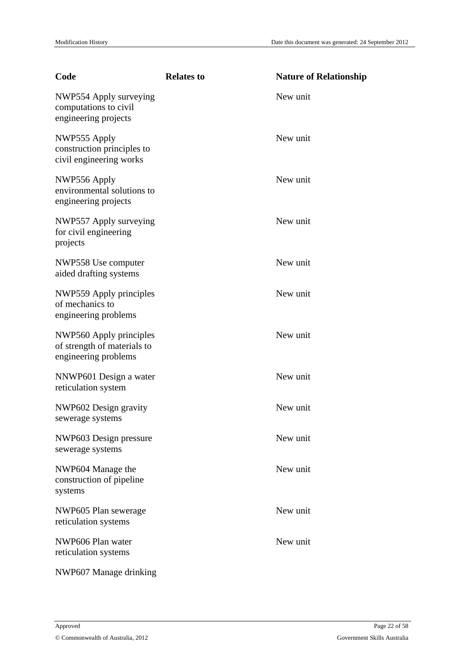| Code                                                                           | <b>Relates to</b> | <b>Nature of Relationship</b> |
|--------------------------------------------------------------------------------|-------------------|-------------------------------|
| NWP554 Apply surveying<br>computations to civil<br>engineering projects        |                   | New unit                      |
| NWP555 Apply<br>construction principles to<br>civil engineering works          |                   | New unit                      |
| NWP556 Apply<br>environmental solutions to<br>engineering projects             |                   | New unit                      |
| NWP557 Apply surveying<br>for civil engineering<br>projects                    |                   | New unit                      |
| NWP558 Use computer<br>aided drafting systems                                  |                   | New unit                      |
| NWP559 Apply principles<br>of mechanics to<br>engineering problems             |                   | New unit                      |
| NWP560 Apply principles<br>of strength of materials to<br>engineering problems |                   | New unit                      |
| NNWP601 Design a water<br>reticulation system                                  |                   | New unit                      |
| NWP602 Design gravity<br>sewerage systems                                      |                   | New unit                      |
| NWP603 Design pressure<br>sewerage systems                                     |                   | New unit                      |
| NWP604 Manage the<br>construction of pipeline<br>systems                       |                   | New unit                      |
| NWP605 Plan sewerage<br>reticulation systems                                   |                   | New unit                      |
| NWP606 Plan water<br>reticulation systems                                      |                   | New unit                      |
| NWP607 Manage drinking                                                         |                   |                               |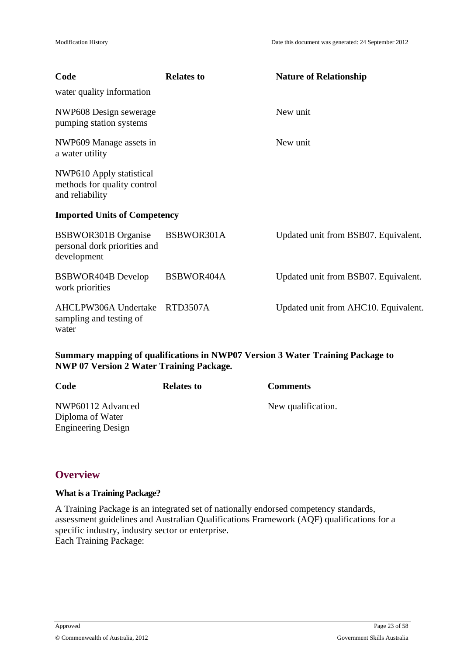| Code                                                                       | <b>Relates to</b> | <b>Nature of Relationship</b>        |
|----------------------------------------------------------------------------|-------------------|--------------------------------------|
| water quality information                                                  |                   |                                      |
| NWP608 Design sewerage<br>pumping station systems                          |                   | New unit                             |
| NWP609 Manage assets in<br>a water utility                                 |                   | New unit                             |
| NWP610 Apply statistical<br>methods for quality control<br>and reliability |                   |                                      |
| <b>Imported Units of Competency</b>                                        |                   |                                      |
| <b>BSBWOR301B</b> Organise<br>personal dork priorities and<br>development  | BSBWOR301A        | Updated unit from BSB07. Equivalent. |
| BSBWOR404B Develop<br>work priorities                                      | BSBWOR404A        | Updated unit from BSB07. Equivalent. |
| AHCLPW306A Undertake<br>sampling and testing of<br>water                   | <b>RTD3507A</b>   | Updated unit from AHC10. Equivalent. |
|                                                                            |                   |                                      |

#### **Summary mapping of qualifications in NWP07 Version 3 Water Training Package to NWP 07 Version 2 Water Training Package.**

| Code                                  | <b>Relates to</b> | <b>Comments</b>    |
|---------------------------------------|-------------------|--------------------|
| NWP60112 Advanced<br>Diploma of Water |                   | New qualification. |
| <b>Engineering Design</b>             |                   |                    |

## <span id="page-22-0"></span>**Overview**

#### **What is a Training Package?**

A Training Package is an integrated set of nationally endorsed competency standards, assessment guidelines and Australian Qualifications Framework (AQF) qualifications for a specific industry, industry sector or enterprise. Each Training Package: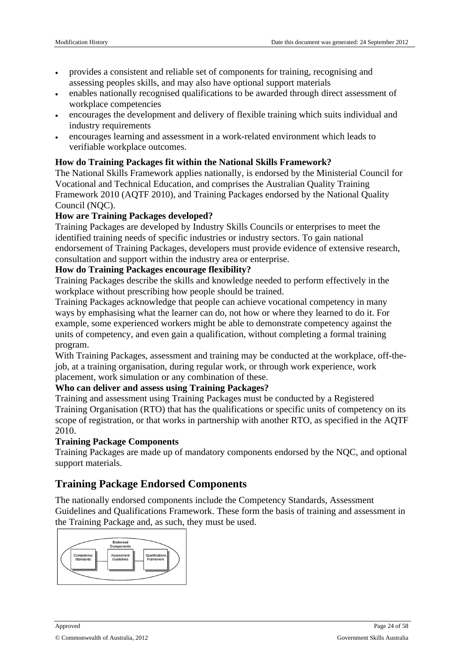- provides a consistent and reliable set of components for training, recognising and assessing peoples skills, and may also have optional support materials
- enables nationally recognised qualifications to be awarded through direct assessment of workplace competencies
- encourages the development and delivery of flexible training which suits individual and industry requirements
- encourages learning and assessment in a work-related environment which leads to verifiable workplace outcomes.

#### **How do Training Packages fit within the National Skills Framework?**

The National Skills Framework applies nationally, is endorsed by the Ministerial Council for Vocational and Technical Education, and comprises the Australian Quality Training Framework 2010 (AQTF 2010), and Training Packages endorsed by the National Quality Council (NOC).

#### **How are Training Packages developed?**

Training Packages are developed by Industry Skills Councils or enterprises to meet the identified training needs of specific industries or industry sectors. To gain national endorsement of Training Packages, developers must provide evidence of extensive research, consultation and support within the industry area or enterprise.

#### **How do Training Packages encourage flexibility?**

Training Packages describe the skills and knowledge needed to perform effectively in the workplace without prescribing how people should be trained.

Training Packages acknowledge that people can achieve vocational competency in many ways by emphasising what the learner can do, not how or where they learned to do it. For example, some experienced workers might be able to demonstrate competency against the units of competency, and even gain a qualification, without completing a formal training program.

With Training Packages, assessment and training may be conducted at the workplace, off-thejob, at a training organisation, during regular work, or through work experience, work placement, work simulation or any combination of these.

#### **Who can deliver and assess using Training Packages?**

Training and assessment using Training Packages must be conducted by a Registered Training Organisation (RTO) that has the qualifications or specific units of competency on its scope of registration, or that works in partnership with another RTO, as specified in the AQTF 2010.

#### **Training Package Components**

Training Packages are made up of mandatory components endorsed by the NQC, and optional support materials.

## **Training Package Endorsed Components**

The nationally endorsed components include the Competency Standards, Assessment Guidelines and Qualifications Framework. These form the basis of training and assessment in the Training Package and, as such, they must be used.

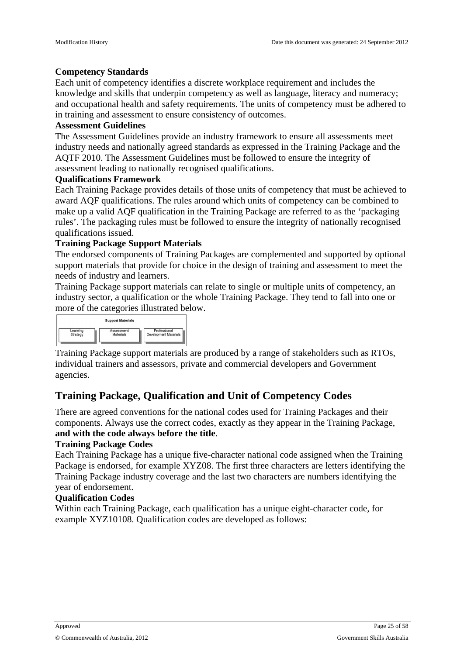#### **Competency Standards**

Each unit of competency identifies a discrete workplace requirement and includes the knowledge and skills that underpin competency as well as language, literacy and numeracy; and occupational health and safety requirements. The units of competency must be adhered to in training and assessment to ensure consistency of outcomes.

#### **Assessment Guidelines**

The Assessment Guidelines provide an industry framework to ensure all assessments meet industry needs and nationally agreed standards as expressed in the Training Package and the AQTF 2010. The Assessment Guidelines must be followed to ensure the integrity of assessment leading to nationally recognised qualifications.

#### **Qualifications Framework**

Each Training Package provides details of those units of competency that must be achieved to award AQF qualifications. The rules around which units of competency can be combined to make up a valid AQF qualification in the Training Package are referred to as the 'packaging rules'. The packaging rules must be followed to ensure the integrity of nationally recognised qualifications issued.

#### **Training Package Support Materials**

The endorsed components of Training Packages are complemented and supported by optional support materials that provide for choice in the design of training and assessment to meet the needs of industry and learners.

Training Package support materials can relate to single or multiple units of competency, an industry sector, a qualification or the whole Training Package. They tend to fall into one or more of the categories illustrated below.

|          | <b>Support Materials</b> |                       |
|----------|--------------------------|-----------------------|
| Learning | Assessment               | Professional          |
| Strategy | Materials                | Development Materials |

Training Package support materials are produced by a range of stakeholders such as RTOs, individual trainers and assessors, private and commercial developers and Government agencies.

## **Training Package, Qualification and Unit of Competency Codes**

There are agreed conventions for the national codes used for Training Packages and their components. Always use the correct codes, exactly as they appear in the Training Package, **and with the code always before the title**.

#### **Training Package Codes**

Each Training Package has a unique five-character national code assigned when the Training Package is endorsed, for example XYZ08. The first three characters are letters identifying the Training Package industry coverage and the last two characters are numbers identifying the year of endorsement.

#### **Qualification Codes**

Within each Training Package, each qualification has a unique eight-character code, for example XYZ10108. Qualification codes are developed as follows: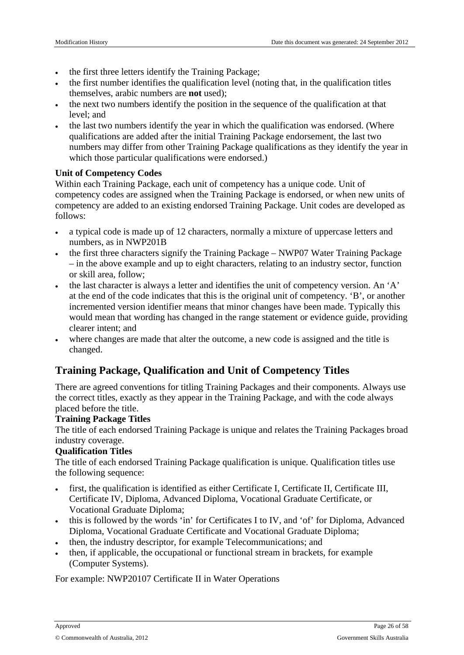- the first three letters identify the Training Package;
- the first number identifies the qualification level (noting that, in the qualification titles themselves, arabic numbers are **not** used);
- the next two numbers identify the position in the sequence of the qualification at that level; and
- the last two numbers identify the year in which the qualification was endorsed. (Where qualifications are added after the initial Training Package endorsement, the last two numbers may differ from other Training Package qualifications as they identify the year in which those particular qualifications were endorsed.)

#### **Unit of Competency Codes**

Within each Training Package, each unit of competency has a unique code. Unit of competency codes are assigned when the Training Package is endorsed, or when new units of competency are added to an existing endorsed Training Package. Unit codes are developed as follows:

- a typical code is made up of 12 characters, normally a mixture of uppercase letters and numbers, as in NWP201B
- the first three characters signify the Training Package NWP07 Water Training Package – in the above example and up to eight characters, relating to an industry sector, function or skill area, follow;
- the last character is always a letter and identifies the unit of competency version. An 'A' at the end of the code indicates that this is the original unit of competency. 'B', or another incremented version identifier means that minor changes have been made. Typically this would mean that wording has changed in the range statement or evidence guide, providing clearer intent; and
- where changes are made that alter the outcome, a new code is assigned and the title is changed.

## **Training Package, Qualification and Unit of Competency Titles**

There are agreed conventions for titling Training Packages and their components. Always use the correct titles, exactly as they appear in the Training Package, and with the code always placed before the title.

#### **Training Package Titles**

The title of each endorsed Training Package is unique and relates the Training Packages broad industry coverage.

#### **Qualification Titles**

The title of each endorsed Training Package qualification is unique. Qualification titles use the following sequence:

- first, the qualification is identified as either Certificate I, Certificate II, Certificate III, Certificate IV, Diploma, Advanced Diploma, Vocational Graduate Certificate, or Vocational Graduate Diploma;
- this is followed by the words 'in' for Certificates I to IV, and 'of' for Diploma, Advanced Diploma, Vocational Graduate Certificate and Vocational Graduate Diploma;
- then, the industry descriptor, for example Telecommunications; and
- then, if applicable, the occupational or functional stream in brackets, for example (Computer Systems).

For example: NWP20107 Certificate II in Water Operations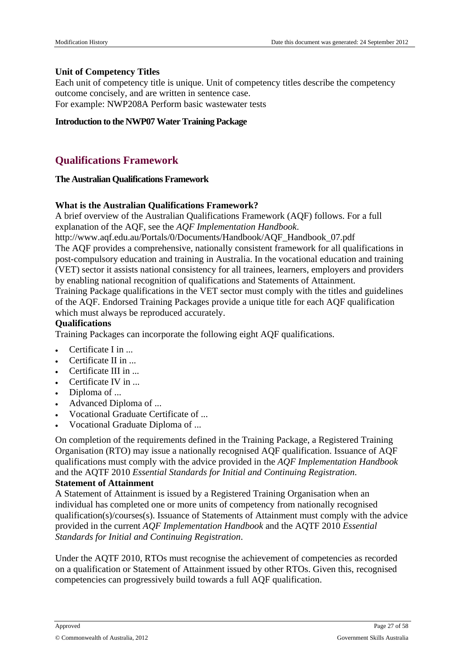#### **Unit of Competency Titles**

Each unit of competency title is unique. Unit of competency titles describe the competency outcome concisely, and are written in sentence case. For example: NWP208A Perform basic wastewater tests

**Introduction to the NWP07Water Training Package**

## <span id="page-26-0"></span>**Qualifications Framework**

#### **The Australian Qualifications Framework**

#### **What is the Australian Qualifications Framework?**

A brief overview of the Australian Qualifications Framework (AQF) follows. For a full explanation of the AQF, see the *AQF Implementation Handbook*.

http://www.aqf.edu.au/Portals/0/Documents/Handbook/AQF\_Handbook\_07.pdf

The AQF provides a comprehensive, nationally consistent framework for all qualifications in post-compulsory education and training in Australia. In the vocational education and training (VET) sector it assists national consistency for all trainees, learners, employers and providers by enabling national recognition of qualifications and Statements of Attainment.

Training Package qualifications in the VET sector must comply with the titles and guidelines of the AQF. Endorsed Training Packages provide a unique title for each AQF qualification which must always be reproduced accurately.

#### **Qualifications**

Training Packages can incorporate the following eight AQF qualifications.

- Certificate I in ...
- Certificate II in ...
- Certificate III in ...
- Certificate IV in ...
- Diploma of ...
- Advanced Diploma of ...
- Vocational Graduate Certificate of ...
- Vocational Graduate Diploma of ...

On completion of the requirements defined in the Training Package, a Registered Training Organisation (RTO) may issue a nationally recognised AQF qualification. Issuance of AQF qualifications must comply with the advice provided in the *AQF Implementation Handbook* and the AQTF 2010 *Essential Standards for Initial and Continuing Registration*.

#### **Statement of Attainment**

A Statement of Attainment is issued by a Registered Training Organisation when an individual has completed one or more units of competency from nationally recognised qualification(s)/courses(s). Issuance of Statements of Attainment must comply with the advice provided in the current *AQF Implementation Handbook* and the AQTF 2010 *Essential Standards for Initial and Continuing Registration*.

Under the AQTF 2010, RTOs must recognise the achievement of competencies as recorded on a qualification or Statement of Attainment issued by other RTOs. Given this, recognised competencies can progressively build towards a full AQF qualification.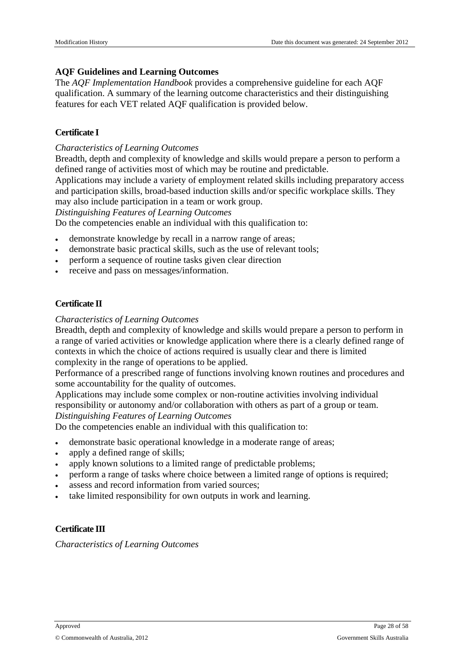#### **AQF Guidelines and Learning Outcomes**

The *AQF Implementation Handbook* provides a comprehensive guideline for each AQF qualification. A summary of the learning outcome characteristics and their distinguishing features for each VET related AQF qualification is provided below.

#### **Certificate I**

#### *Characteristics of Learning Outcomes*

Breadth, depth and complexity of knowledge and skills would prepare a person to perform a defined range of activities most of which may be routine and predictable.

Applications may include a variety of employment related skills including preparatory access and participation skills, broad-based induction skills and/or specific workplace skills. They may also include participation in a team or work group.

*Distinguishing Features of Learning Outcomes*

Do the competencies enable an individual with this qualification to:

- demonstrate knowledge by recall in a narrow range of areas;
- demonstrate basic practical skills, such as the use of relevant tools;
- perform a sequence of routine tasks given clear direction
- receive and pass on messages/information.

#### **Certificate II**

#### *Characteristics of Learning Outcomes*

Breadth, depth and complexity of knowledge and skills would prepare a person to perform in a range of varied activities or knowledge application where there is a clearly defined range of contexts in which the choice of actions required is usually clear and there is limited complexity in the range of operations to be applied.

Performance of a prescribed range of functions involving known routines and procedures and some accountability for the quality of outcomes.

Applications may include some complex or non-routine activities involving individual responsibility or autonomy and/or collaboration with others as part of a group or team. *Distinguishing Features of Learning Outcomes*

Do the competencies enable an individual with this qualification to:

- demonstrate basic operational knowledge in a moderate range of areas;
- apply a defined range of skills;
- apply known solutions to a limited range of predictable problems;
- perform a range of tasks where choice between a limited range of options is required;
- assess and record information from varied sources;
- take limited responsibility for own outputs in work and learning.

#### **Certificate III**

*Characteristics of Learning Outcomes*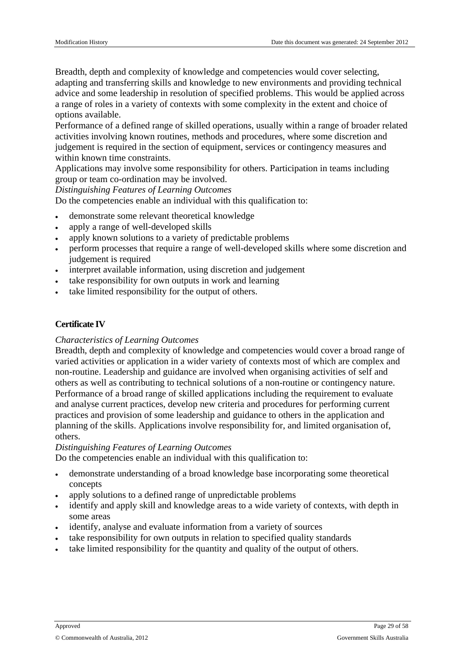Breadth, depth and complexity of knowledge and competencies would cover selecting, adapting and transferring skills and knowledge to new environments and providing technical advice and some leadership in resolution of specified problems. This would be applied across a range of roles in a variety of contexts with some complexity in the extent and choice of options available.

Performance of a defined range of skilled operations, usually within a range of broader related activities involving known routines, methods and procedures, where some discretion and judgement is required in the section of equipment, services or contingency measures and within known time constraints.

Applications may involve some responsibility for others. Participation in teams including group or team co-ordination may be involved.

*Distinguishing Features of Learning Outcomes*

Do the competencies enable an individual with this qualification to:

- demonstrate some relevant theoretical knowledge
- apply a range of well-developed skills
- apply known solutions to a variety of predictable problems
- perform processes that require a range of well-developed skills where some discretion and judgement is required
- interpret available information, using discretion and judgement
- take responsibility for own outputs in work and learning
- take limited responsibility for the output of others.

#### **Certificate IV**

#### *Characteristics of Learning Outcomes*

Breadth, depth and complexity of knowledge and competencies would cover a broad range of varied activities or application in a wider variety of contexts most of which are complex and non-routine. Leadership and guidance are involved when organising activities of self and others as well as contributing to technical solutions of a non-routine or contingency nature. Performance of a broad range of skilled applications including the requirement to evaluate and analyse current practices, develop new criteria and procedures for performing current practices and provision of some leadership and guidance to others in the application and planning of the skills. Applications involve responsibility for, and limited organisation of, others.

#### *Distinguishing Features of Learning Outcomes*

Do the competencies enable an individual with this qualification to:

- demonstrate understanding of a broad knowledge base incorporating some theoretical concepts
- apply solutions to a defined range of unpredictable problems
- identify and apply skill and knowledge areas to a wide variety of contexts, with depth in some areas
- identify, analyse and evaluate information from a variety of sources
- take responsibility for own outputs in relation to specified quality standards
- take limited responsibility for the quantity and quality of the output of others.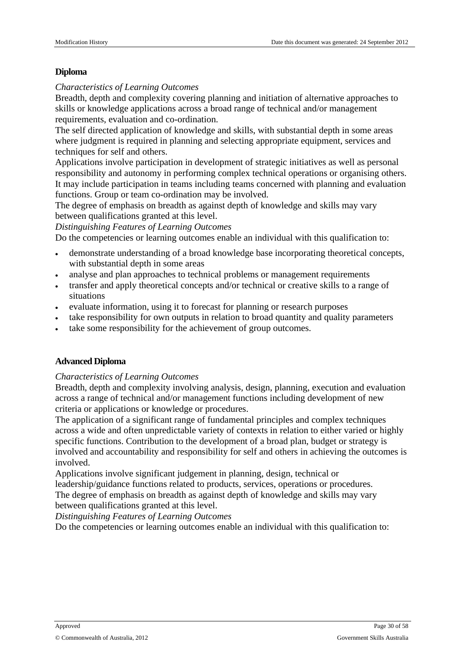#### **Diploma**

#### *Characteristics of Learning Outcomes*

Breadth, depth and complexity covering planning and initiation of alternative approaches to skills or knowledge applications across a broad range of technical and/or management requirements, evaluation and co-ordination.

The self directed application of knowledge and skills, with substantial depth in some areas where judgment is required in planning and selecting appropriate equipment, services and techniques for self and others.

Applications involve participation in development of strategic initiatives as well as personal responsibility and autonomy in performing complex technical operations or organising others. It may include participation in teams including teams concerned with planning and evaluation functions. Group or team co-ordination may be involved.

The degree of emphasis on breadth as against depth of knowledge and skills may vary between qualifications granted at this level.

*Distinguishing Features of Learning Outcomes*

Do the competencies or learning outcomes enable an individual with this qualification to:

- demonstrate understanding of a broad knowledge base incorporating theoretical concepts, with substantial depth in some areas
- analyse and plan approaches to technical problems or management requirements
- transfer and apply theoretical concepts and/or technical or creative skills to a range of situations
- evaluate information, using it to forecast for planning or research purposes
- take responsibility for own outputs in relation to broad quantity and quality parameters
- take some responsibility for the achievement of group outcomes.

#### **Advanced Diploma**

#### *Characteristics of Learning Outcomes*

Breadth, depth and complexity involving analysis, design, planning, execution and evaluation across a range of technical and/or management functions including development of new criteria or applications or knowledge or procedures.

The application of a significant range of fundamental principles and complex techniques across a wide and often unpredictable variety of contexts in relation to either varied or highly specific functions. Contribution to the development of a broad plan, budget or strategy is involved and accountability and responsibility for self and others in achieving the outcomes is involved.

Applications involve significant judgement in planning, design, technical or leadership/guidance functions related to products, services, operations or procedures. The degree of emphasis on breadth as against depth of knowledge and skills may vary between qualifications granted at this level.

*Distinguishing Features of Learning Outcomes*

Do the competencies or learning outcomes enable an individual with this qualification to: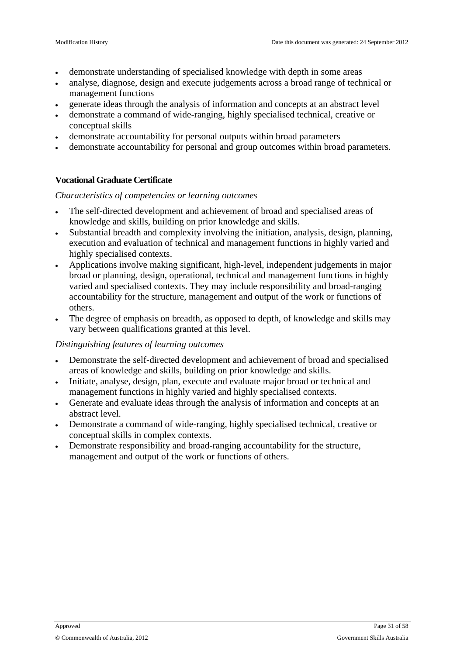- demonstrate understanding of specialised knowledge with depth in some areas
- analyse, diagnose, design and execute judgements across a broad range of technical or management functions
- generate ideas through the analysis of information and concepts at an abstract level
- demonstrate a command of wide-ranging, highly specialised technical, creative or conceptual skills
- demonstrate accountability for personal outputs within broad parameters
- demonstrate accountability for personal and group outcomes within broad parameters.

#### **Vocational Graduate Certificate**

#### *Characteristics of competencies or learning outcomes*

- The self-directed development and achievement of broad and specialised areas of knowledge and skills, building on prior knowledge and skills.
- Substantial breadth and complexity involving the initiation, analysis, design, planning, execution and evaluation of technical and management functions in highly varied and highly specialised contexts.
- Applications involve making significant, high-level, independent judgements in major broad or planning, design, operational, technical and management functions in highly varied and specialised contexts. They may include responsibility and broad-ranging accountability for the structure, management and output of the work or functions of others.
- The degree of emphasis on breadth, as opposed to depth, of knowledge and skills may vary between qualifications granted at this level.

#### *Distinguishing features of learning outcomes*

- Demonstrate the self-directed development and achievement of broad and specialised areas of knowledge and skills, building on prior knowledge and skills.
- Initiate, analyse, design, plan, execute and evaluate major broad or technical and management functions in highly varied and highly specialised contexts.
- Generate and evaluate ideas through the analysis of information and concepts at an abstract level.
- Demonstrate a command of wide-ranging, highly specialised technical, creative or conceptual skills in complex contexts.
- Demonstrate responsibility and broad-ranging accountability for the structure, management and output of the work or functions of others.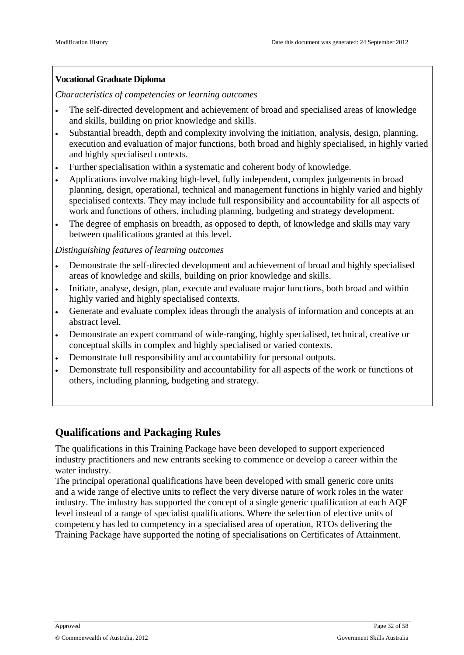#### **Vocational Graduate Diploma**

*Characteristics of competencies or learning outcomes*

- The self-directed development and achievement of broad and specialised areas of knowledge and skills, building on prior knowledge and skills.
- Substantial breadth, depth and complexity involving the initiation, analysis, design, planning, execution and evaluation of major functions, both broad and highly specialised, in highly varied and highly specialised contexts.
- Further specialisation within a systematic and coherent body of knowledge.
- Applications involve making high-level, fully independent, complex judgements in broad planning, design, operational, technical and management functions in highly varied and highly specialised contexts. They may include full responsibility and accountability for all aspects of work and functions of others, including planning, budgeting and strategy development.
- The degree of emphasis on breadth, as opposed to depth, of knowledge and skills may vary between qualifications granted at this level.

*Distinguishing features of learning outcomes*

- Demonstrate the self-directed development and achievement of broad and highly specialised areas of knowledge and skills, building on prior knowledge and skills.
- Initiate, analyse, design, plan, execute and evaluate major functions, both broad and within highly varied and highly specialised contexts.
- Generate and evaluate complex ideas through the analysis of information and concepts at an abstract level.
- Demonstrate an expert command of wide-ranging, highly specialised, technical, creative or conceptual skills in complex and highly specialised or varied contexts.
- Demonstrate full responsibility and accountability for personal outputs.
- Demonstrate full responsibility and accountability for all aspects of the work or functions of others, including planning, budgeting and strategy.

## **Qualifications and Packaging Rules**

The qualifications in this Training Package have been developed to support experienced industry practitioners and new entrants seeking to commence or develop a career within the water industry.

The principal operational qualifications have been developed with small generic core units and a wide range of elective units to reflect the very diverse nature of work roles in the water industry. The industry has supported the concept of a single generic qualification at each AQF level instead of a range of specialist qualifications. Where the selection of elective units of competency has led to competency in a specialised area of operation, RTOs delivering the Training Package have supported the noting of specialisations on Certificates of Attainment.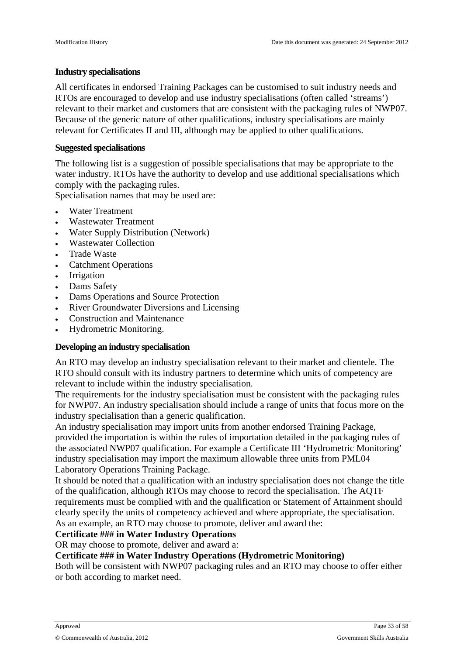#### **Industry specialisations**

All certificates in endorsed Training Packages can be customised to suit industry needs and RTOs are encouraged to develop and use industry specialisations (often called 'streams') relevant to their market and customers that are consistent with the packaging rules of NWP07. Because of the generic nature of other qualifications, industry specialisations are mainly relevant for Certificates II and III, although may be applied to other qualifications.

#### **Suggested specialisations**

The following list is a suggestion of possible specialisations that may be appropriate to the water industry. RTOs have the authority to develop and use additional specialisations which comply with the packaging rules.

Specialisation names that may be used are:

- Water Treatment
- Wastewater Treatment
- Water Supply Distribution (Network)
- Wastewater Collection
- Trade Waste
- Catchment Operations
- Irrigation
- Dams Safety
- Dams Operations and Source Protection
- River Groundwater Diversions and Licensing
- Construction and Maintenance
- Hydrometric Monitoring.

#### **Developing an industry specialisation**

An RTO may develop an industry specialisation relevant to their market and clientele. The RTO should consult with its industry partners to determine which units of competency are relevant to include within the industry specialisation.

The requirements for the industry specialisation must be consistent with the packaging rules for NWP07. An industry specialisation should include a range of units that focus more on the industry specialisation than a generic qualification.

An industry specialisation may import units from another endorsed Training Package, provided the importation is within the rules of importation detailed in the packaging rules of the associated NWP07 qualification. For example a Certificate III 'Hydrometric Monitoring' industry specialisation may import the maximum allowable three units from PML04 Laboratory Operations Training Package.

It should be noted that a qualification with an industry specialisation does not change the title of the qualification, although RTOs may choose to record the specialisation. The AQTF requirements must be complied with and the qualification or Statement of Attainment should clearly specify the units of competency achieved and where appropriate, the specialisation. As an example, an RTO may choose to promote, deliver and award the:

#### **Certificate ### in Water Industry Operations**

OR may choose to promote, deliver and award a:

#### **Certificate ### in Water Industry Operations (Hydrometric Monitoring)**

Both will be consistent with NWP07 packaging rules and an RTO may choose to offer either or both according to market need.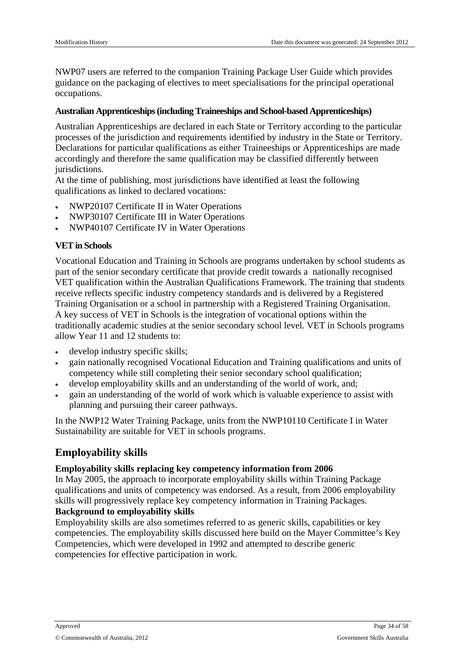NWP07 users are referred to the companion Training Package User Guide which provides guidance on the packaging of electives to meet specialisations for the principal operational occupations.

#### **Australian Apprenticeships(including Traineeships and School-based Apprenticeships)**

Australian Apprenticeships are declared in each State or Territory according to the particular processes of the jurisdiction and requirements identified by industry in the State or Territory. Declarations for particular qualifications as either Traineeships or Apprenticeships are made accordingly and therefore the same qualification may be classified differently between jurisdictions.

At the time of publishing, most jurisdictions have identified at least the following qualifications as linked to declared vocations:

- NWP20107 Certificate II in Water Operations
- NWP30107 Certificate III in Water Operations
- NWP40107 Certificate IV in Water Operations

#### **VET in Schools**

Vocational Education and Training in Schools are programs undertaken by school students as part of the senior secondary certificate that provide credit towards a nationally recognised VET qualification within the Australian Qualifications Framework. The training that students receive reflects specific industry competency standards and is delivered by a Registered Training Organisation or a school in partnership with a Registered Training Organisation. A key success of VET in Schools is the integration of vocational options within the traditionally academic studies at the senior secondary school level. VET in Schools programs allow Year 11 and 12 students to:

- develop industry specific skills;
- gain nationally recognised Vocational Education and Training qualifications and units of competency while still completing their senior secondary school qualification;
- develop employability skills and an understanding of the world of work, and;
- gain an understanding of the world of work which is valuable experience to assist with planning and pursuing their career pathways.

In the NWP12 Water Training Package, units from the NWP10110 Certificate I in Water Sustainability are suitable for VET in schools programs.

### **Employability skills**

#### **Employability skills replacing key competency information from 2006**

In May 2005, the approach to incorporate employability skills within Training Package qualifications and units of competency was endorsed. As a result, from 2006 employability skills will progressively replace key competency information in Training Packages.

#### **Background to employability skills**

Employability skills are also sometimes referred to as generic skills, capabilities or key competencies. The employability skills discussed here build on the Mayer Committee's Key Competencies, which were developed in 1992 and attempted to describe generic competencies for effective participation in work.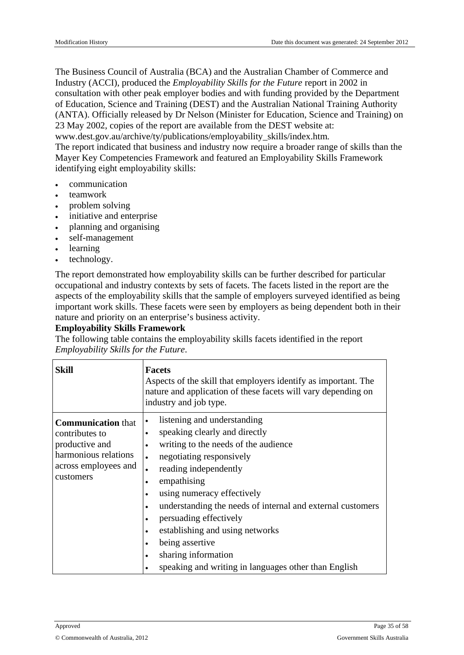The Business Council of Australia (BCA) and the Australian Chamber of Commerce and Industry (ACCI), produced the *Employability Skills for the Future* report in 2002 in consultation with other peak employer bodies and with funding provided by the Department of Education, Science and Training (DEST) and the Australian National Training Authority (ANTA). Officially released by Dr Nelson (Minister for Education, Science and Training) on 23 May 2002, copies of the report are available from the DEST website at:

www.dest.gov.au/archive/ty/publications/employability\_skills/index.htm*.*

The report indicated that business and industry now require a broader range of skills than the Mayer Key Competencies Framework and featured an Employability Skills Framework identifying eight employability skills:

- communication
- teamwork
- problem solving
- initiative and enterprise
- planning and organising
- self-management
- learning
- technology.

The report demonstrated how employability skills can be further described for particular occupational and industry contexts by sets of facets. The facets listed in the report are the aspects of the employability skills that the sample of employers surveyed identified as being important work skills. These facets were seen by employers as being dependent both in their nature and priority on an enterprise's business activity.

#### **Employability Skills Framework**

The following table contains the employability skills facets identified in the report *Employability Skills for the Future*.

| <b>Skill</b>                                                                                                               | <b>Facets</b><br>Aspects of the skill that employers identify as important. The<br>nature and application of these facets will vary depending on<br>industry and job type.                                                                                                                                                                                                                                                                                                                                                                       |
|----------------------------------------------------------------------------------------------------------------------------|--------------------------------------------------------------------------------------------------------------------------------------------------------------------------------------------------------------------------------------------------------------------------------------------------------------------------------------------------------------------------------------------------------------------------------------------------------------------------------------------------------------------------------------------------|
| <b>Communication</b> that<br>contributes to<br>productive and<br>harmonious relations<br>across employees and<br>customers | listening and understanding<br>٠<br>speaking clearly and directly<br>$\bullet$<br>writing to the needs of the audience<br>$\bullet$<br>negotiating responsively<br>reading independently<br>$\bullet$<br>empathising<br>$\bullet$<br>using numeracy effectively<br>understanding the needs of internal and external customers<br>$\bullet$<br>persuading effectively<br>establishing and using networks<br>$\bullet$<br>being assertive<br>sharing information<br>$\bullet$<br>speaking and writing in languages other than English<br>$\bullet$ |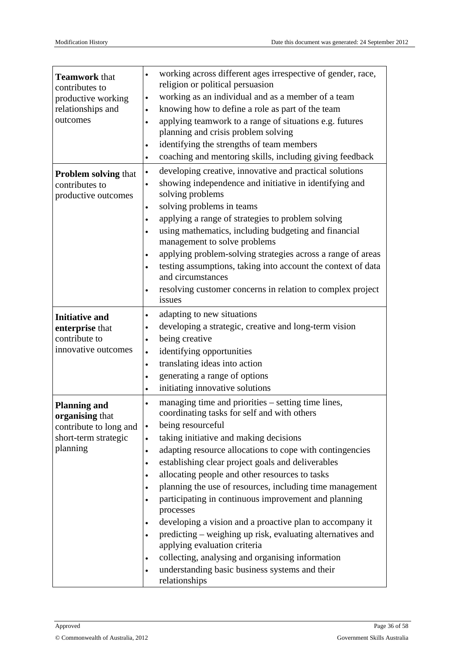| <b>Teamwork that</b><br>contributes to<br>productive working<br>relationships and<br>outcomes        | working across different ages irrespective of gender, race,<br>$\bullet$<br>religion or political persuasion<br>working as an individual and as a member of a team<br>$\bullet$<br>knowing how to define a role as part of the team<br>$\bullet$<br>applying teamwork to a range of situations e.g. futures<br>$\bullet$<br>planning and crisis problem solving<br>identifying the strengths of team members<br>$\bullet$<br>coaching and mentoring skills, including giving feedback<br>$\bullet$                                                                                                                                                                                                                                                                                                                                                            |
|------------------------------------------------------------------------------------------------------|---------------------------------------------------------------------------------------------------------------------------------------------------------------------------------------------------------------------------------------------------------------------------------------------------------------------------------------------------------------------------------------------------------------------------------------------------------------------------------------------------------------------------------------------------------------------------------------------------------------------------------------------------------------------------------------------------------------------------------------------------------------------------------------------------------------------------------------------------------------|
| <b>Problem solving that</b><br>contributes to<br>productive outcomes                                 | developing creative, innovative and practical solutions<br>$\bullet$<br>showing independence and initiative in identifying and<br>$\bullet$<br>solving problems<br>solving problems in teams<br>$\bullet$<br>applying a range of strategies to problem solving<br>$\bullet$<br>using mathematics, including budgeting and financial<br>management to solve problems<br>applying problem-solving strategies across a range of areas<br>testing assumptions, taking into account the context of data<br>and circumstances<br>resolving customer concerns in relation to complex project<br>$\bullet$<br>issues                                                                                                                                                                                                                                                  |
| <b>Initiative and</b><br>enterprise that<br>contribute to<br>innovative outcomes                     | adapting to new situations<br>$\bullet$<br>developing a strategic, creative and long-term vision<br>$\bullet$<br>being creative<br>identifying opportunities<br>$\bullet$<br>translating ideas into action<br>$\bullet$<br>generating a range of options<br>$\bullet$<br>initiating innovative solutions<br>$\bullet$                                                                                                                                                                                                                                                                                                                                                                                                                                                                                                                                         |
| <b>Planning and</b><br>organising that<br>contribute to long and<br>short-term strategic<br>planning | managing time and priorities – setting time lines,<br>$\bullet$<br>coordinating tasks for self and with others<br>being resourceful<br>$\bullet$<br>taking initiative and making decisions<br>$\bullet$<br>adapting resource allocations to cope with contingencies<br>$\bullet$<br>establishing clear project goals and deliverables<br>$\bullet$<br>allocating people and other resources to tasks<br>planning the use of resources, including time management<br>$\bullet$<br>participating in continuous improvement and planning<br>$\bullet$<br>processes<br>developing a vision and a proactive plan to accompany it<br>predicting – weighing up risk, evaluating alternatives and<br>applying evaluation criteria<br>collecting, analysing and organising information<br>understanding basic business systems and their<br>$\bullet$<br>relationships |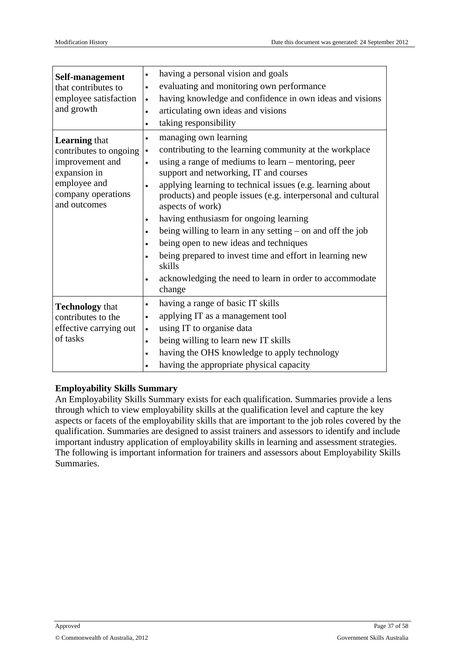| Self-management<br>that contributes to<br>employee satisfaction<br>and growth                                                           | having a personal vision and goals<br>$\bullet$<br>evaluating and monitoring own performance<br>$\bullet$<br>having knowledge and confidence in own ideas and visions<br>$\bullet$<br>articulating own ideas and visions<br>$\bullet$<br>taking responsibility<br>$\bullet$                                                                                                                                                                                                                                                                                                                                                                                                                                    |
|-----------------------------------------------------------------------------------------------------------------------------------------|----------------------------------------------------------------------------------------------------------------------------------------------------------------------------------------------------------------------------------------------------------------------------------------------------------------------------------------------------------------------------------------------------------------------------------------------------------------------------------------------------------------------------------------------------------------------------------------------------------------------------------------------------------------------------------------------------------------|
| <b>Learning that</b><br>contributes to ongoing<br>improvement and<br>expansion in<br>employee and<br>company operations<br>and outcomes | managing own learning<br>contributing to the learning community at the workplace<br>$\bullet$<br>using a range of mediums to learn – mentoring, peer<br>support and networking, IT and courses<br>applying learning to technical issues (e.g. learning about<br>$\bullet$<br>products) and people issues (e.g. interpersonal and cultural<br>aspects of work)<br>having enthusiasm for ongoing learning<br>$\bullet$<br>being willing to learn in any setting – on and off the job<br>$\bullet$<br>being open to new ideas and techniques<br>$\bullet$<br>being prepared to invest time and effort in learning new<br>skills<br>acknowledging the need to learn in order to accommodate<br>$\bullet$<br>change |
| <b>Technology</b> that<br>contributes to the<br>effective carrying out<br>of tasks                                                      | having a range of basic IT skills<br>$\bullet$<br>applying IT as a management tool<br>using IT to organise data<br>$\bullet$<br>being willing to learn new IT skills<br>$\bullet$<br>having the OHS knowledge to apply technology<br>$\bullet$<br>having the appropriate physical capacity<br>$\bullet$                                                                                                                                                                                                                                                                                                                                                                                                        |

#### **Employability Skills Summary**

An Employability Skills Summary exists for each qualification. Summaries provide a lens through which to view employability skills at the qualification level and capture the key aspects or facets of the employability skills that are important to the job roles covered by the qualification. Summaries are designed to assist trainers and assessors to identify and include important industry application of employability skills in learning and assessment strategies. The following is important information for trainers and assessors about Employability Skills Summaries.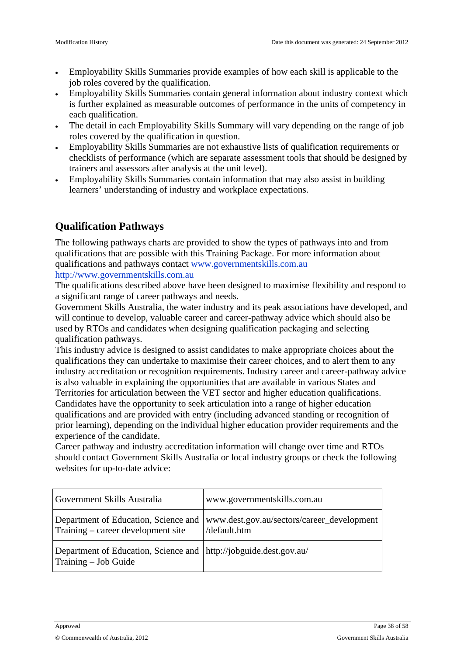Employability SkillsSummaries provide example thow each skill is applicable to the iob roles covered w the qualification.

Employability SkillsSummaries contain general information about industintextwhich is further explained as measurable outcomes of performandue unitsof competency in each qualification.

The detail in each Employability Skills Summary will vary depending herange of job roles coveredby the qualification in question.

Employability SkillsSummaries are not exhaustive lists qualification requirements or checklists of performance (which e separatessessment toolbatshould be designed by trainers and assessors after analysibeatunit level).

Employability SkillsSummaries contain information that may also ist inbuilding learners' understanding of industry and workplace expectations.

## Qualification Pathways

The following pathways charts are provided show the types of pathways into and from qualifications that are possible this Training Package. For more information about qualifications and pathways contact www.governmentskills.com.au [http://www.governmentskills.com.a](http://www.governmentskills.com.au)u

The qualifications described abolvavebeen designed to aximiseflexibility and respond to a significant range of career pathways needs.

Government Skills Australia, the water industry and its peak associations have developed, and will continue to develop, valuable careard career-pathway advice which should also be used by RTOs and candidates when designing qualification packagind selecting qualification pathways.

This industry advices designed to assist candidate stake appropriate choicesabout the qualifications they can undertake to maximise their career cost toalert them to any industry accreditation or recognition requirements. Industry career and-pathway advice is also valuablen explaining the opportunitiethat are available in various States and Territories for articulation between the VE Ector and higher education qualifications. Candidates have the opportunity to secticulation into a range of higher education qualifications and are provided with entry (including anced standing or recognition of prior learning), depending on the individual higher education ider requirements and the experience of theandidate.

Career pathway and industry accreditation information will change over time EO and should contact Government Skills Austradialocal industry grouper check the following websites for up-to-datedvice:

| Government Skills Australia                                                             | www.governmentskills.com.au                                                                |
|-----------------------------------------------------------------------------------------|--------------------------------------------------------------------------------------------|
| Training - careedevelopment site                                                        | Department of Education, Science a www.dest.gov.au/sectors/career_developm<br>/default.htm |
| Department of Education, Science a http://jobguide.dest.gov.au/<br>Training - Job Guide |                                                                                            |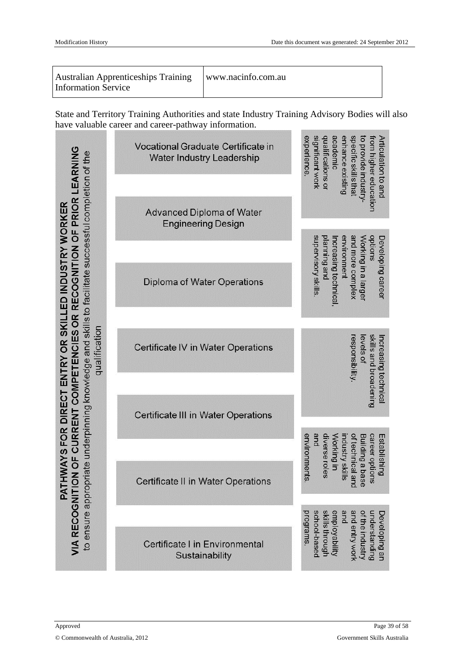| <b>Australian Apprenticeships Training</b><br><b>Information Service</b> | www.nacinfo.com.au |
|--------------------------------------------------------------------------|--------------------|
|--------------------------------------------------------------------------|--------------------|

State and Territory Training Authorities and state Industry Training Advisory Bodies will also have valuable career and career-pathway information.

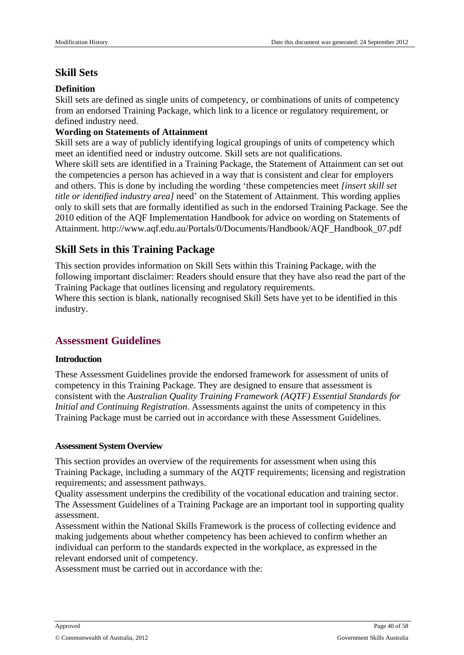## **Skill Sets**

#### **Definition**

Skill sets are defined as single units of competency, or combinations of units of competency from an endorsed Training Package, which link to a licence or regulatory requirement, or defined industry need.

#### **Wording on Statements of Attainment**

Skill sets are a way of publicly identifying logical groupings of units of competency which meet an identified need or industry outcome. Skill sets are not qualifications.

Where skill sets are identified in a Training Package, the Statement of Attainment can set out the competencies a person has achieved in a way that is consistent and clear for employers and others. This is done by including the wording 'these competencies meet *[insert skill set title or identified industry area]* need' on the Statement of Attainment. This wording applies only to skill sets that are formally identified as such in the endorsed Training Package. See the 2010 edition of the AQF Implementation Handbook for advice on wording on Statements of Attainment. http://www.aqf.edu.au/Portals/0/Documents/Handbook/AQF\_Handbook\_07.pdf

## **Skill Sets in this Training Package**

This section provides information on Skill Sets within this Training Package, with the following important disclaimer: Readers should ensure that they have also read the part of the Training Package that outlines licensing and regulatory requirements.

Where this section is blank, nationally recognised Skill Sets have yet to be identified in this industry.

## <span id="page-39-0"></span>**Assessment Guidelines**

#### **Introduction**

These Assessment Guidelines provide the endorsed framework for assessment of units of competency in this Training Package. They are designed to ensure that assessment is consistent with the *Australian Quality Training Framework (AQTF) Essential Standards for Initial and Continuing Registration*. Assessments against the units of competency in this Training Package must be carried out in accordance with these Assessment Guidelines.

#### **Assessment System Overview**

This section provides an overview of the requirements for assessment when using this Training Package, including a summary of the AQTF requirements; licensing and registration requirements; and assessment pathways.

Quality assessment underpins the credibility of the vocational education and training sector. The Assessment Guidelines of a Training Package are an important tool in supporting quality assessment.

Assessment within the National Skills Framework is the process of collecting evidence and making judgements about whether competency has been achieved to confirm whether an individual can perform to the standards expected in the workplace, as expressed in the relevant endorsed unit of competency.

Assessment must be carried out in accordance with the: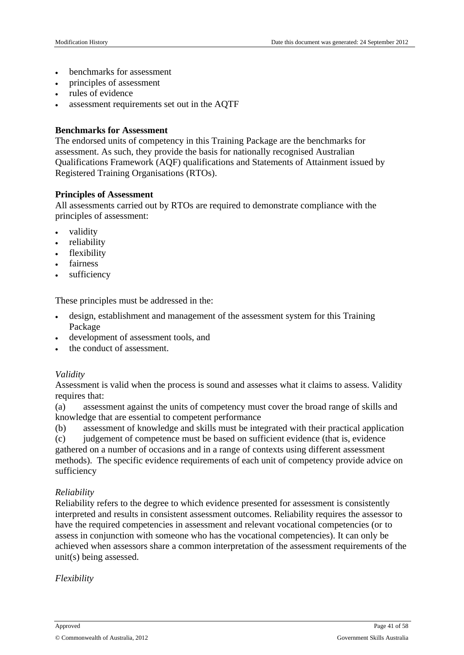- benchmarks for assessment
- principles of assessment
- rules of evidence
- assessment requirements set out in the AQTF

#### **Benchmarks for Assessment**

The endorsed units of competency in this Training Package are the benchmarks for assessment. As such, they provide the basis for nationally recognised Australian Qualifications Framework (AQF) qualifications and Statements of Attainment issued by Registered Training Organisations (RTOs).

#### **Principles of Assessment**

All assessments carried out by RTOs are required to demonstrate compliance with the principles of assessment:

- validity
- reliability
- flexibility
- fairness
- sufficiency

These principles must be addressed in the:

- design, establishment and management of the assessment system for this Training Package
- development of assessment tools, and
- the conduct of assessment.

#### *Validity*

Assessment is valid when the process is sound and assesses what it claims to assess. Validity requires that:

(a) assessment against the units of competency must cover the broad range of skills and knowledge that are essential to competent performance

(b) assessment of knowledge and skills must be integrated with their practical application (c) judgement of competence must be based on sufficient evidence (that is, evidence gathered on a number of occasions and in a range of contexts using different assessment methods). The specific evidence requirements of each unit of competency provide advice on sufficiency

#### *Reliability*

Reliability refers to the degree to which evidence presented for assessment is consistently interpreted and results in consistent assessment outcomes. Reliability requires the assessor to have the required competencies in assessment and relevant vocational competencies (or to assess in conjunction with someone who has the vocational competencies). It can only be achieved when assessors share a common interpretation of the assessment requirements of the unit(s) being assessed.

#### *Flexibility*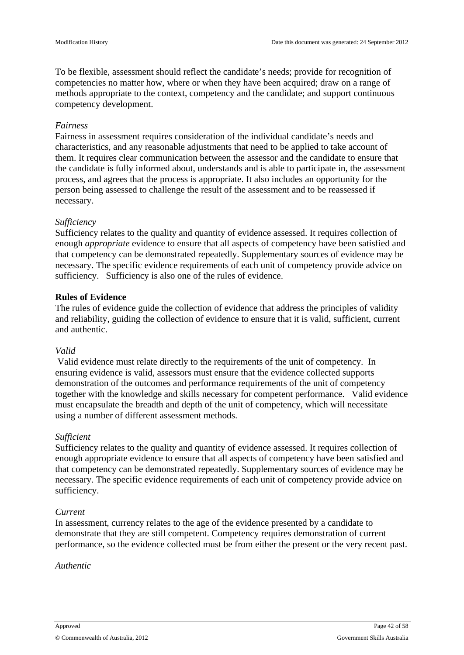To be flexible, assessment should reflect the candidate's needs; provide for recognition of competencies no matter how, where or when they have been acquired; draw on a range of methods appropriate to the context, competency and the candidate; and support continuous competency development.

#### *Fairness*

Fairness in assessment requires consideration of the individual candidate's needs and characteristics, and any reasonable adjustments that need to be applied to take account of them. It requires clear communication between the assessor and the candidate to ensure that the candidate is fully informed about, understands and is able to participate in, the assessment process, and agrees that the process is appropriate. It also includes an opportunity for the person being assessed to challenge the result of the assessment and to be reassessed if necessary.

#### *Sufficiency*

Sufficiency relates to the quality and quantity of evidence assessed. It requires collection of enough *appropriate* evidence to ensure that all aspects of competency have been satisfied and that competency can be demonstrated repeatedly. Supplementary sources of evidence may be necessary. The specific evidence requirements of each unit of competency provide advice on sufficiency. Sufficiency is also one of the rules of evidence.

#### **Rules of Evidence**

The rules of evidence guide the collection of evidence that address the principles of validity and reliability, guiding the collection of evidence to ensure that it is valid, sufficient, current and authentic.

#### *Valid*

Valid evidence must relate directly to the requirements of the unit of competency. In ensuring evidence is valid, assessors must ensure that the evidence collected supports demonstration of the outcomes and performance requirements of the unit of competency together with the knowledge and skills necessary for competent performance. Valid evidence must encapsulate the breadth and depth of the unit of competency, which will necessitate using a number of different assessment methods.

#### *Sufficient*

Sufficiency relates to the quality and quantity of evidence assessed. It requires collection of enough appropriate evidence to ensure that all aspects of competency have been satisfied and that competency can be demonstrated repeatedly. Supplementary sources of evidence may be necessary. The specific evidence requirements of each unit of competency provide advice on sufficiency.

#### *Current*

In assessment, currency relates to the age of the evidence presented by a candidate to demonstrate that they are still competent. Competency requires demonstration of current performance, so the evidence collected must be from either the present or the very recent past.

#### *Authentic*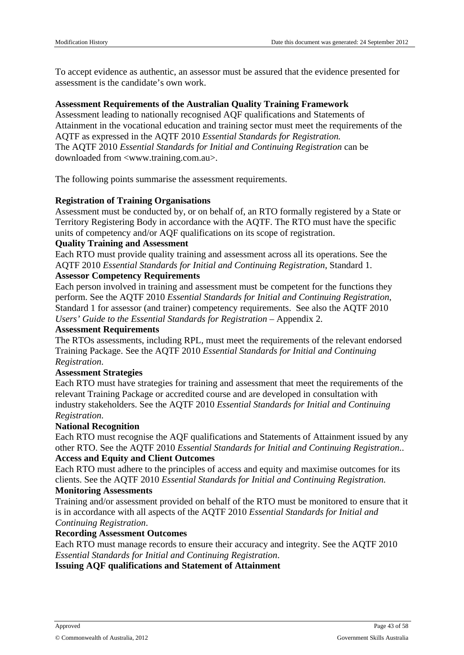To accept evidence as authentic, an assessor must be assured that the evidence presented for assessment is the candidate's own work.

#### **Assessment Requirements of the Australian Quality Training Framework**

Assessment leading to nationally recognised AQF qualifications and Statements of Attainment in the vocational education and training sector must meet the requirements of the AQTF as expressed in the AQTF 2010 *Essential Standards for Registration.* The AQTF 2010 *Essential Standards for Initial and Continuing Registration* can be downloaded from <www.training.com.au>.

The following points summarise the assessment requirements.

#### **Registration of Training Organisations**

Assessment must be conducted by, or on behalf of, an RTO formally registered by a State or Territory Registering Body in accordance with the AQTF. The RTO must have the specific units of competency and/or AQF qualifications on its scope of registration.

#### **Quality Training and Assessment**

Each RTO must provide quality training and assessment across all its operations. See the AQTF 2010 *Essential Standards for Initial and Continuing Registration*, Standard 1.

#### **Assessor Competency Requirements**

Each person involved in training and assessment must be competent for the functions they perform. See the AQTF 2010 *Essential Standards for Initial and Continuing Registration*, Standard 1 for assessor (and trainer) competency requirements. See also the AQTF 2010 *Users' Guide to the Essential Standards for Registration* – Appendix 2.

#### **Assessment Requirements**

The RTOs assessments, including RPL, must meet the requirements of the relevant endorsed Training Package. See the AQTF 2010 *Essential Standards for Initial and Continuing Registration*.

#### **Assessment Strategies**

Each RTO must have strategies for training and assessment that meet the requirements of the relevant Training Package or accredited course and are developed in consultation with industry stakeholders. See the AQTF 2010 *Essential Standards for Initial and Continuing Registration*.

#### **National Recognition**

Each RTO must recognise the AQF qualifications and Statements of Attainment issued by any other RTO. See the AQTF 2010 *Essential Standards for Initial and Continuing Registration*.. **Access and Equity and Client Outcomes**

Each RTO must adhere to the principles of access and equity and maximise outcomes for its clients. See the AQTF 2010 *Essential Standards for Initial and Continuing Registration.* **Monitoring Assessments**

Training and/or assessment provided on behalf of the RTO must be monitored to ensure that it is in accordance with all aspects of the AQTF 2010 *Essential Standards for Initial and Continuing Registration*.

#### **Recording Assessment Outcomes**

Each RTO must manage records to ensure their accuracy and integrity. See the AQTF 2010 *Essential Standards for Initial and Continuing Registration*.

**Issuing AQF qualifications and Statement of Attainment**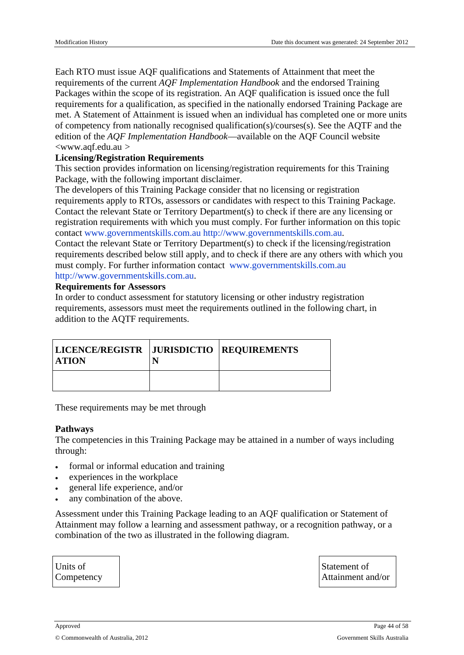Each RTOmust issue AQF qualificationsand Statements of Attainment that meet the requirement of the current AQF Implementation and book and the endorsed Training Packages within the scope of its registratio An AQF qualification is issued once the full requirement for a qualification, as specified in the nationally endorsed Training Package are met. A Statement Attainmentis issued when aindividual has completed one or more units of competency from nationallecognised ualification(s)/courses(s) see the AQTF and the edition of the AQF Implementation Handbook available on the AQF Council website <www.aqf.edu.au >

Licensing/Registration Requirements

This section provides information on licensing/registration requirementsito Fraining Package, with the bllowing important disclaimer.

The developers othis Training Package considured that licensing or registration requirement apply to RTOs, assessors candidates with respet ot this Training Package. Contact the relevant State or Territory Department (s) beck if there are anylicensing or registration requirements with which you must comply. further information on this topic contact www.governmentskills.com.au [http://www.governmentskills.co](http://www.governmentskills.com.au)m.au.

Contact the relevant State or Territory Department (s) beck if the licensing/registration requirementsdescribed below still apply, and to check there are any others with hich you must comply. For furtheriformation contact www.governmentskills.com.au [http://www.governmentskills.com.a](http://www.governmentskills.com.au)u.

Requirements for Assessors

In orderto conduct assessment **statutory licensing or other industregistration** requirements, assessors must metapetrequirements outlined the following chart, in addition to the AQTF requirements.

| LICENCE/REGISTR   JURISDICTIO   REQUIREMENTS<br><b>ATION</b> |  |
|--------------------------------------------------------------|--|
|                                                              |  |

These requirements may be religiough

#### Pathways

The competencies in this Trainin Reackagemay be attained in number of ways including through:

 formal orinformal education and training experiences in the workplace general lifeexperienceand/or any combinationof the above.

Assessment under this Training Package leading to anotal Frication or Statement of Attainment mayfollow a learning and assessment pathway, or a recognition pathway, or a combination of the two as illustrated the following diagram.

Units of **Competency**  Statement of Attainment and/or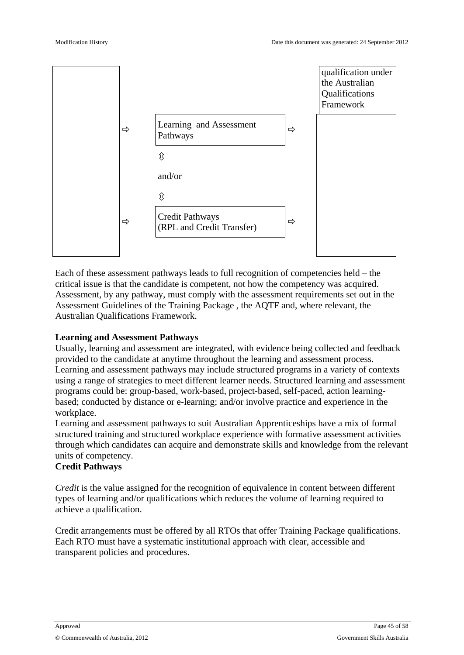

Each of these assessment pathways leads to full recognition of competencies held – the critical issue is that the candidate is competent, not how the competency was acquired. Assessment, by any pathway, must comply with the assessment requirements set out in the Assessment Guidelines of the Training Package , the AQTF and, where relevant, the Australian Qualifications Framework.

#### **Learning and Assessment Pathways**

Usually, learning and assessment are integrated, with evidence being collected and feedback provided to the candidate at anytime throughout the learning and assessment process. Learning and assessment pathways may include structured programs in a variety of contexts using a range of strategies to meet different learner needs. Structured learning and assessment programs could be: group-based, work-based, project-based, self-paced, action learningbased; conducted by distance or e-learning; and/or involve practice and experience in the workplace.

Learning and assessment pathways to suit Australian Apprenticeships have a mix of formal structured training and structured workplace experience with formative assessment activities through which candidates can acquire and demonstrate skills and knowledge from the relevant units of competency.

#### **Credit Pathways**

*Credit* is the value assigned for the recognition of equivalence in content between different types of learning and/or qualifications which reduces the volume of learning required to achieve a qualification.

Credit arrangements must be offered by all RTOs that offer Training Package qualifications. Each RTO must have a systematic institutional approach with clear, accessible and transparent policies and procedures.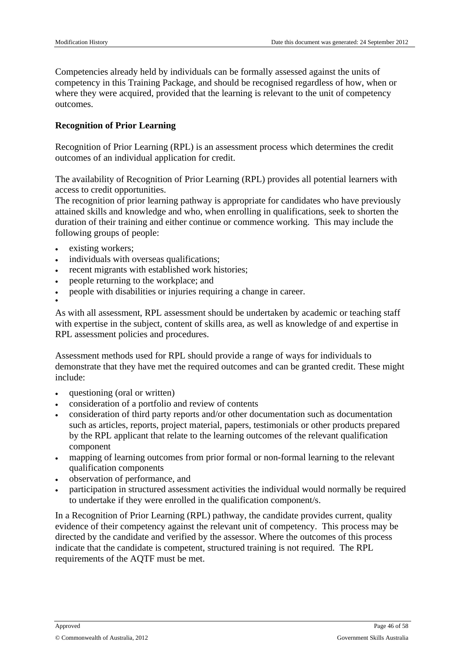Competencies already held by individuals can be formally assessed against the units of competency in this Training Package, and should be recognised regardless of how, when or where they were acquired, provided that the learning is relevant to the unit of competency outcomes.

#### **Recognition of Prior Learning**

Recognition of Prior Learning (RPL) is an assessment process which determines the credit outcomes of an individual application for credit.

The availability of Recognition of Prior Learning (RPL) provides all potential learners with access to credit opportunities.

The recognition of prior learning pathway is appropriate for candidates who have previously attained skills and knowledge and who, when enrolling in qualifications, seek to shorten the duration of their training and either continue or commence working. This may include the following groups of people:

- existing workers;
- individuals with overseas qualifications;
- recent migrants with established work histories;
- people returning to the workplace; and
- people with disabilities or injuries requiring a change in career.

 $\bullet$ 

As with all assessment, RPL assessment should be undertaken by academic or teaching staff with expertise in the subject, content of skills area, as well as knowledge of and expertise in RPL assessment policies and procedures.

Assessment methods used for RPL should provide a range of ways for individuals to demonstrate that they have met the required outcomes and can be granted credit. These might include:

- questioning (oral or written)
- consideration of a portfolio and review of contents
- consideration of third party reports and/or other documentation such as documentation such as articles, reports, project material, papers, testimonials or other products prepared by the RPL applicant that relate to the learning outcomes of the relevant qualification component
- mapping of learning outcomes from prior formal or non-formal learning to the relevant qualification components
- observation of performance, and
- participation in structured assessment activities the individual would normally be required to undertake if they were enrolled in the qualification component/s.

In a Recognition of Prior Learning (RPL) pathway, the candidate provides current, quality evidence of their competency against the relevant unit of competency. This process may be directed by the candidate and verified by the assessor. Where the outcomes of this process indicate that the candidate is competent, structured training is not required. The RPL requirements of the AQTF must be met.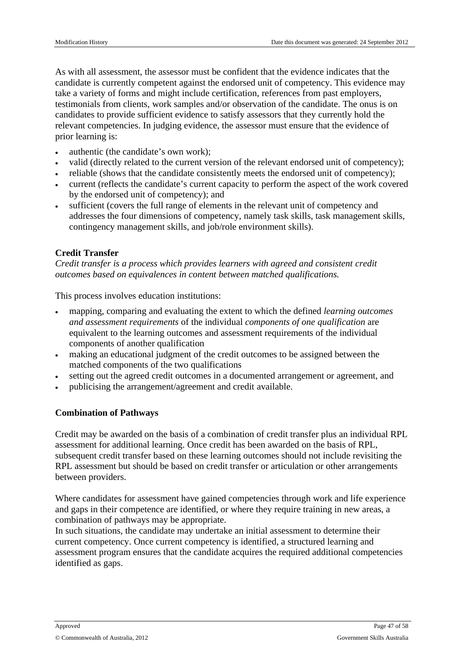As with all assessment, the assessor must be confident that the evidence indicates that the candidate is currently competent against the endorsed unit of competency. This evidence may take a variety of forms and might include certification, references from past employers, testimonials from clients, work samples and/or observation of the candidate. The onus is on candidates to provide sufficient evidence to satisfy assessors that they currently hold the relevant competencies. In judging evidence, the assessor must ensure that the evidence of prior learning is:

- authentic (the candidate's own work);
- valid (directly related to the current version of the relevant endorsed unit of competency);
- reliable (shows that the candidate consistently meets the endorsed unit of competency);
- current (reflects the candidate's current capacity to perform the aspect of the work covered by the endorsed unit of competency); and
- sufficient (covers the full range of elements in the relevant unit of competency and addresses the four dimensions of competency, namely task skills, task management skills, contingency management skills, and job/role environment skills).

#### **Credit Transfer**

*Credit transfer is a process which provides learners with agreed and consistent credit outcomes based on equivalences in content between matched qualifications.*

This process involves education institutions:

- mapping, comparing and evaluating the extent to which the defined *learning outcomes and assessment requirements* of the individual *components of one qualification* are equivalent to the learning outcomes and assessment requirements of the individual components of another qualification
- making an educational judgment of the credit outcomes to be assigned between the matched components of the two qualifications
- setting out the agreed credit outcomes in a documented arrangement or agreement, and
- publicising the arrangement/agreement and credit available.

#### **Combination of Pathways**

Credit may be awarded on the basis of a combination of credit transfer plus an individual RPL assessment for additional learning. Once credit has been awarded on the basis of RPL, subsequent credit transfer based on these learning outcomes should not include revisiting the RPL assessment but should be based on credit transfer or articulation or other arrangements between providers.

Where candidates for assessment have gained competencies through work and life experience and gaps in their competence are identified, or where they require training in new areas, a combination of pathways may be appropriate.

In such situations, the candidate may undertake an initial assessment to determine their current competency. Once current competency is identified, a structured learning and assessment program ensures that the candidate acquires the required additional competencies identified as gaps.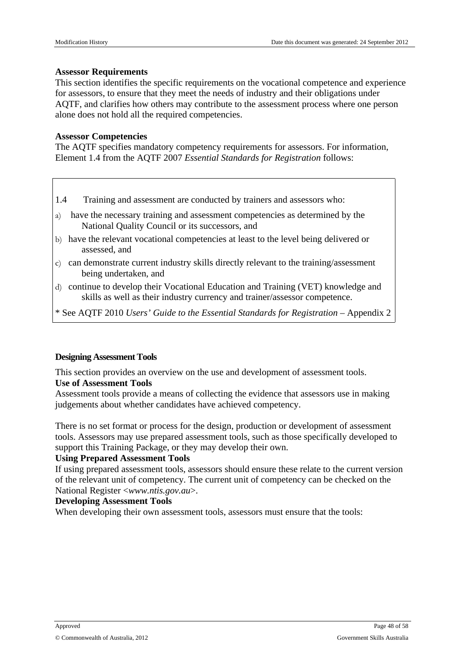#### **Assessor Requirements**

This section identifies the specific requirements on the vocational competence and experience for assessors, to ensure that they meet the needs of industry and their obligations under AQTF, and clarifies how others may contribute to the assessment process where one person alone does not hold all the required competencies.

#### **Assessor Competencies**

The AQTF specifies mandatory competency requirements for assessors. For information, Element 1.4 from the AQTF 2007 *Essential Standards for Registration* follows:

- 1.4 Training and assessment are conducted by trainers and assessors who:
- a) have the necessary training and assessment competencies as determined by the National Quality Council or its successors, and
- b) have the relevant vocational competencies at least to the level being delivered or assessed, and
- c) can demonstrate current industry skills directly relevant to the training/assessment being undertaken, and
- d) continue to develop their Vocational Education and Training (VET) knowledge and skills as well as their industry currency and trainer/assessor competence.
- \* See AQTF 2010 *Users' Guide to the Essential Standards for Registration* Appendix 2

#### **Designing Assessment Tools**

This section provides an overview on the use and development of assessment tools. **Use of Assessment Tools**

Assessment tools provide a means of collecting the evidence that assessors use in making judgements about whether candidates have achieved competency.

There is no set format or process for the design, production or development of assessment tools. Assessors may use prepared assessment tools, such as those specifically developed to support this Training Package, or they may develop their own.

#### **Using Prepared Assessment Tools**

If using prepared assessment tools, assessors should ensure these relate to the current version of the relevant unit of competency. The current unit of competency can be checked on the National Register <*www.ntis.gov.au*>.

#### **Developing Assessment Tools**

When developing their own assessment tools, assessors must ensure that the tools: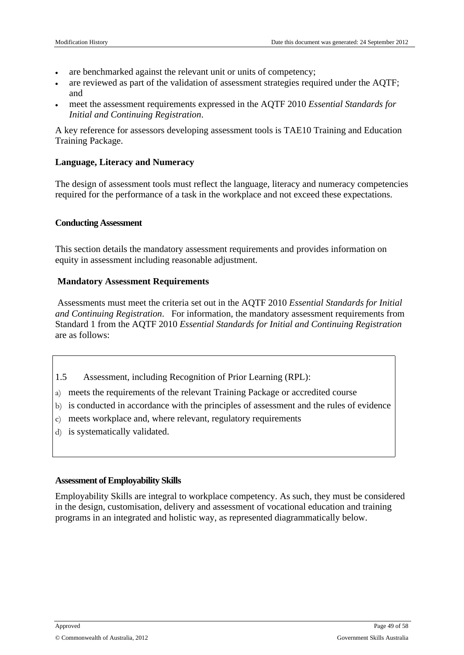- are benchmarked against the relevant unit or units of competency;
- are reviewed as part of the validation of assessment strategies required under the AQTF; and
- meet the assessment requirements expressed in the AQTF 2010 *Essential Standards for Initial and Continuing Registration*.

A key reference for assessors developing assessment tools is TAE10 Training and Education Training Package.

#### **Language, Literacy and Numeracy**

The design of assessment tools must reflect the language, literacy and numeracy competencies required for the performance of a task in the workplace and not exceed these expectations.

#### **Conducting Assessment**

This section details the mandatory assessment requirements and provides information on equity in assessment including reasonable adjustment.

#### **Mandatory Assessment Requirements**

Assessments must meet the criteria set out in the AQTF 2010 *Essential Standards for Initial and Continuing Registration*. For information, the mandatory assessment requirements from Standard 1 from the AQTF 2010 *Essential Standards for Initial and Continuing Registration* are as follows:

- 1.5 Assessment, including Recognition of Prior Learning (RPL):
- a) meets the requirements of the relevant Training Package or accredited course
- b) is conducted in accordance with the principles of assessment and the rules of evidence
- c) meets workplace and, where relevant, regulatory requirements
- d) is systematically validated.

#### **Assessment of Employability Skills**

Employability Skills are integral to workplace competency. As such, they must be considered in the design, customisation, delivery and assessment of vocational education and training programs in an integrated and holistic way, as represented diagrammatically below.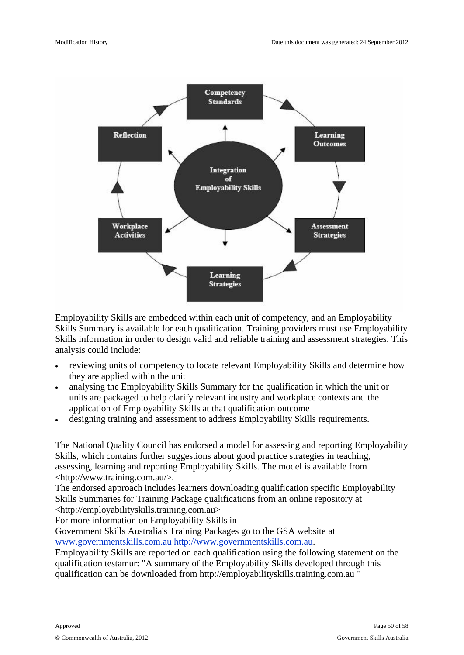Employability Skillsare embedded within each unit of competency, and employability Skills Summary is available for each qualification maining providers mustuse Employability Skills information in ordeto design valid and reliable training and assessment strategies. This analysis could include:

reviewingunits of competency to locate relevant Employabativils and determine ow they are applied within the unit

analysingthe Employability Skills Summary forthe qualification in which the unit or units arepackaged to help clarify relevant industry and workplace contextthend application of Employability Skillsat that qualification outcome

designing training and assessment to address Employability Skelt purements.

The NationalQuality Council has endorsed model for assessing and reporting Employability Skills, which contains further suggestions about good practice strategies fining, assessing, learning and reporting Employabality Is. The models available from <http://www.training.com.au/>.

The endorsed approach includes learners downloading qualification specific Employability Skills Summaries for Training Package qualifications from an online pository at <http://employabilityskills.training.com.au>

For more informatioron EmployabilitySkills in

Government Skills Australia's Training Packages go to the GSA website www.governmentskills.com.au [http://www.governmentskills.com](http://www.governmentskills.com.au).au .

Employability Skillsare reported on each qualification using the following statement on the qualification testamur! A summary of the Employability Skills developed throulous qualification can be downloaded from http://employabilityskills.training.com.au "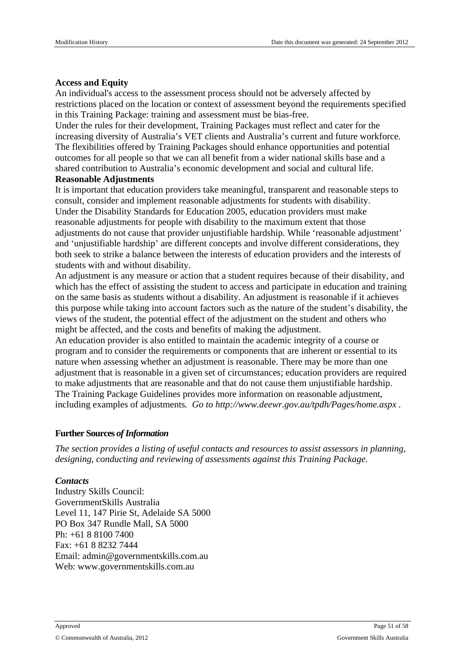#### **Access and Equity**

An individual's access to the assessment process should not be adversely affected by restrictions placed on the location or context of assessment beyond the requirements specified in this Training Package: training and assessment must be bias-free.

Under the rules for their development, Training Packages must reflect and cater for the increasing diversity of Australia's VET clients and Australia's current and future workforce. The flexibilities offered by Training Packages should enhance opportunities and potential outcomes for all people so that we can all benefit from a wider national skills base and a shared contribution to Australia's economic development and social and cultural life.

#### **Reasonable Adjustments**

It is important that education providers take meaningful, transparent and reasonable steps to consult, consider and implement reasonable adjustments for students with disability. Under the Disability Standards for Education 2005, education providers must make reasonable adjustments for people with disability to the maximum extent that those adjustments do not cause that provider unjustifiable hardship. While 'reasonable adjustment' and 'unjustifiable hardship' are different concepts and involve different considerations, they both seek to strike a balance between the interests of education providers and the interests of students with and without disability.

An adjustment is any measure or action that a student requires because of their disability, and which has the effect of assisting the student to access and participate in education and training on the same basis as students without a disability. An adjustment is reasonable if it achieves this purpose while taking into account factors such as the nature of the student's disability, the views of the student, the potential effect of the adjustment on the student and others who might be affected, and the costs and benefits of making the adjustment.

An education provider is also entitled to maintain the academic integrity of a course or program and to consider the requirements or components that are inherent or essential to its nature when assessing whether an adjustment is reasonable. There may be more than one adjustment that is reasonable in a given set of circumstances; education providers are required to make adjustments that are reasonable and that do not cause them unjustifiable hardship. The Training Package Guidelines provides more information on reasonable adjustment, including examples of adjustments*. Go to http://www.deewr.gov.au/tpdh/Pages/home.aspx .*

#### **Further Sources** of **Information**

*The section provides a listing of useful contacts and resources to assist assessors in planning, designing, conducting and reviewing of assessments against this Training Package.*

#### *Contacts*

Industry Skills Council: GovernmentSkills Australia Level 11, 147 Pirie St, Adelaide SA 5000 PO Box 347 Rundle Mall, SA 5000 Ph: +61 8 8100 7400 Fax: +61 8 8232 7444 Email: admin@governmentskills.com.au Web: www.governmentskills.com.au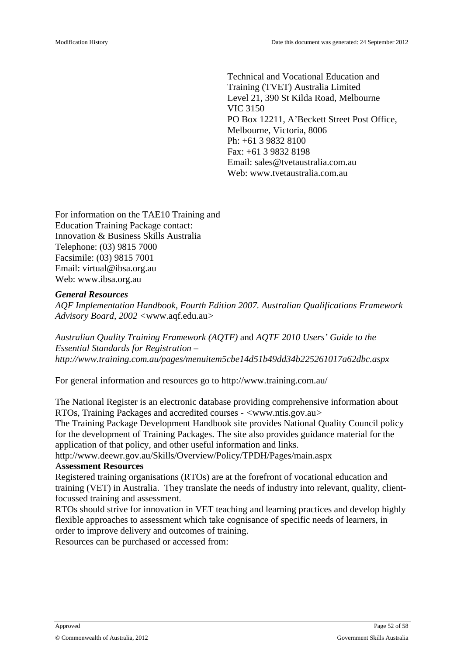Technical and Vocational Education and Training (TVET) Australia Limited Level 21, 390 St Kilda Road, Melbourne VIC 3150 PO Box 12211, A'Beckett Street Post Office, Melbourne, Victoria, 8006 Ph: +61 3 9832 8100 Fax: +61 3 9832 8198 Email: sales@tvetaustralia.com.au Web: www.tvetaustralia.com.au

For information on the TAE10 Training and Education Training Package contact: Innovation & Business Skills Australia Telephone: (03) 9815 7000 Facsimile: (03) 9815 7001 Email: virtual@ibsa.org.au Web: www.ibsa.org.au

#### *General Resources*

*AQF Implementation Handbook, Fourth Edition 2007. Australian Qualifications Framework Advisory Board, 2002 <*www.aqf.edu.au*>*

*Australian Quality Training Framework (AQTF)* and *AQTF 2010 Users' Guide to the Essential Standards for Registration – http://www.training.com.au/pages/menuitem5cbe14d51b49dd34b225261017a62dbc.aspx*

For general information and resources go to http://www.training.com.au/

The National Register is an electronic database providing comprehensive information about RTOs, Training Packages and accredited courses - *<*www.ntis.gov.au*>*

The Training Package Development Handbook site provides National Quality Council policy for the development of Training Packages. The site also provides guidance material for the application of that policy, and other useful information and links.

http://www.deewr.gov.au/Skills/Overview/Policy/TPDH/Pages/main.aspx

#### A**ssessment Resources**

Registered training organisations (RTOs) are at the forefront of vocational education and training (VET) in Australia. They translate the needs of industry into relevant, quality, clientfocussed training and assessment.

RTOs should strive for innovation in VET teaching and learning practices and develop highly flexible approaches to assessment which take cognisance of specific needs of learners, in order to improve delivery and outcomes of training.

Resources can be purchased or accessed from: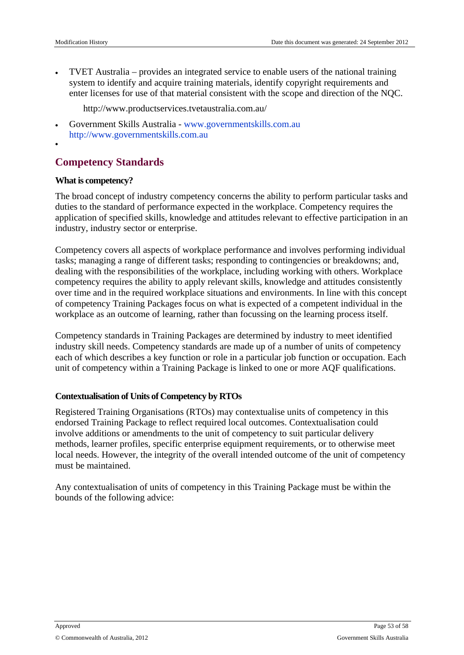TVET Australia – provides an integratedryice toenableusers of the national raining system to identifyandacquire training materials, identify copyright requirements and enter licenses for use of that material consistent withs the and direction of the NQC.

http://www.productservices.tvetaustralia.com.au/

 GovernmentSkills Australia - www.governmentskills.com.au [http://www.governmentskills.com.a](http://www.governmentskills.com.au)u

## <span id="page-52-0"></span>Competency Standards

#### What is competency?

The broad concept of industry competency concerns the ability toerformparticulartasks and duties to the standard of performance expected deworkplace.Competency equires the application of specified kills, knowledge and attitudes relevanteffective participationin an industry, industry sector or enterprise.

Competency covers also pects of workplace are formance and involves performing individual tasks; managing raange of differenttasks; responding to contingencies or breakdowns; and, dealing with theresponsibilitiesof the workplace, including working with others. Workplace competency requires the bility to apply relevant skills, knowledge and attitudensistently over time and in the required workplacions and environments in line with this concept of competency Training Packages focus on what is expected of a competent individual in workplace as an outcome learning, rather thanfocussing on the learning process itself.

Competency standards in Training Packages are determined by indunstry identified industry skill needs.Competency standards are madeup of anumber of units of competency each of whichdescribes key function or rolen a particular job unction or occupation. Each unit of competency within a Trainingackages linked tooneor moreAQF qualifications.

#### Contextualisation of Unitsof Competency by RTOs

Registered Training Organisatio(RTOs)may contextualise units of competencythis endorsed Training Package to reflect required local outcomes. Contextualisation could involve additionsor amendments to the unit of competencs uniquaricular delivery methods, learner profiles, specific enterprise equipment requirements, or to otherwise meet local needs. Howeverthe integrity of theoverallintended outcome of the unit of competency must be maintained.

Any contextualisation of units of competency in this Training Packagebews thin the bounds of the ollowing advice: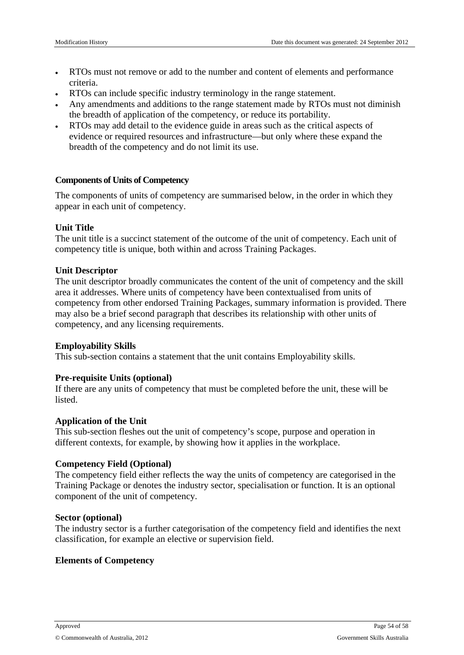- RTOs must not remove or add to the number and content of elements and performance criteria.
- RTOs can include specific industry terminology in the range statement.
- Any amendments and additions to the range statement made by RTOs must not diminish the breadth of application of the competency, or reduce its portability.
- RTOs may add detail to the evidence guide in areas such as the critical aspects of evidence or required resources and infrastructure—but only where these expand the breadth of the competency and do not limit its use.

#### **Components of Units of Competency**

The components of units of competency are summarised below, in the order in which they appear in each unit of competency.

#### **Unit Title**

The unit title is a succinct statement of the outcome of the unit of competency. Each unit of competency title is unique, both within and across Training Packages.

#### **Unit Descriptor**

The unit descriptor broadly communicates the content of the unit of competency and the skill area it addresses. Where units of competency have been contextualised from units of competency from other endorsed Training Packages, summary information is provided. There may also be a brief second paragraph that describes its relationship with other units of competency, and any licensing requirements.

#### **Employability Skills**

This sub-section contains a statement that the unit contains Employability skills.

#### **Pre-requisite Units (optional)**

If there are any units of competency that must be completed before the unit, these will be listed.

#### **Application of the Unit**

This sub-section fleshes out the unit of competency's scope, purpose and operation in different contexts, for example, by showing how it applies in the workplace.

#### **Competency Field (Optional)**

The competency field either reflects the way the units of competency are categorised in the Training Package or denotes the industry sector, specialisation or function. It is an optional component of the unit of competency.

#### **Sector (optional)**

The industry sector is a further categorisation of the competency field and identifies the next classification, for example an elective or supervision field.

#### **Elements of Competency**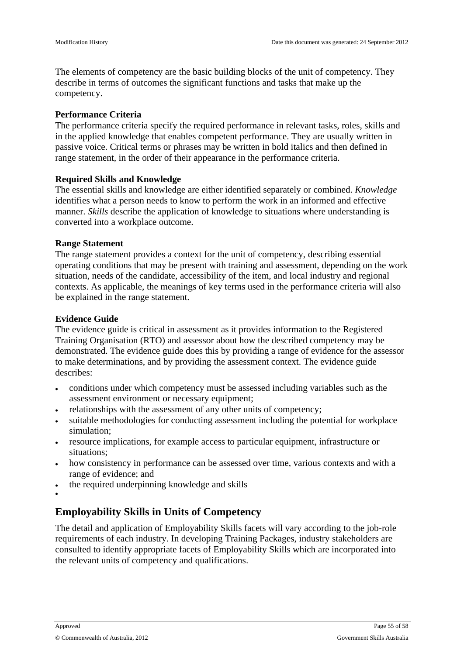The elements of competency are the basic building blocks of the unit of competency. They describe in terms of outcomes the significant functions and tasks that make up the competency.

#### **Performance Criteria**

The performance criteria specify the required performance in relevant tasks, roles, skills and in the applied knowledge that enables competent performance. They are usually written in passive voice. Critical terms or phrases may be written in bold italics and then defined in range statement, in the order of their appearance in the performance criteria.

#### **Required Skills and Knowledge**

The essential skills and knowledge are either identified separately or combined. *Knowledge* identifies what a person needs to know to perform the work in an informed and effective manner. *Skills* describe the application of knowledge to situations where understanding is converted into a workplace outcome.

#### **Range Statement**

The range statement provides a context for the unit of competency, describing essential operating conditions that may be present with training and assessment, depending on the work situation, needs of the candidate, accessibility of the item, and local industry and regional contexts. As applicable, the meanings of key terms used in the performance criteria will also be explained in the range statement.

#### **Evidence Guide**

The evidence guide is critical in assessment as it provides information to the Registered Training Organisation (RTO) and assessor about how the described competency may be demonstrated. The evidence guide does this by providing a range of evidence for the assessor to make determinations, and by providing the assessment context. The evidence guide describes:

- conditions under which competency must be assessed including variables such as the assessment environment or necessary equipment;
- relationships with the assessment of any other units of competency;
- suitable methodologies for conducting assessment including the potential for workplace simulation;
- resource implications, for example access to particular equipment, infrastructure or situations;
- how consistency in performance can be assessed over time, various contexts and with a range of evidence; and
- the required underpinning knowledge and skills
- $\bullet$

## **Employability Skills in Units of Competency**

The detail and application of Employability Skills facets will vary according to the job-role requirements of each industry. In developing Training Packages, industry stakeholders are consulted to identify appropriate facets of Employability Skills which are incorporated into the relevant units of competency and qualifications.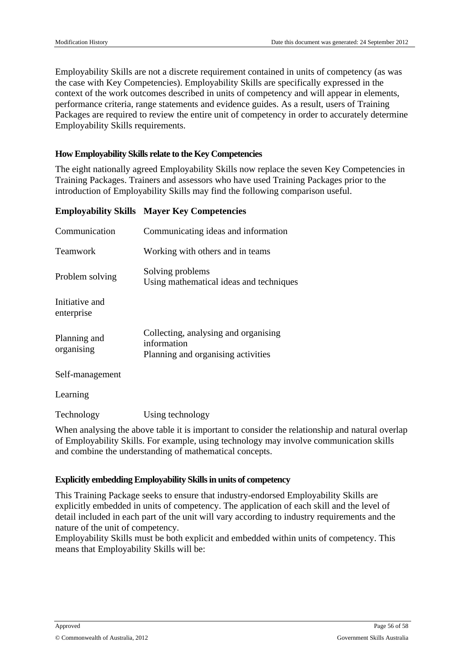Employability Skills are not a discrete requirement contained in units of competency (as was the case with Key Competencies). Employability Skills are specifically expressed in the context of the work outcomes described in units of competency and will appear in elements, performance criteria, range statements and evidence guides. As a result, users of Training Packages are required to review the entire unit of competency in order to accurately determine Employability Skills requirements.

#### **How Employability Skills relate to the Key Competencies**

The eight nationally agreed Employability Skills now replace the seven Key Competencies in Training Packages. Trainers and assessors who have used Training Packages prior to the introduction of Employability Skills may find the following comparison useful.

#### **Employability Skills Mayer Key Competencies**

| Communication                | Communicating ideas and information                                                       |
|------------------------------|-------------------------------------------------------------------------------------------|
| <b>Teamwork</b>              | Working with others and in teams                                                          |
| Problem solving              | Solving problems<br>Using mathematical ideas and techniques                               |
| Initiative and<br>enterprise |                                                                                           |
| Planning and<br>organising   | Collecting, analysing and organising<br>information<br>Planning and organising activities |
| Self-management              |                                                                                           |

Learning

Technology Using technology

When analysing the above table it is important to consider the relationship and natural overlap of Employability Skills. For example, using technology may involve communication skills and combine the understanding of mathematical concepts.

#### **Explicitly embedding Employability Skillsin units of competency**

This Training Package seeks to ensure that industry-endorsed Employability Skills are explicitly embedded in units of competency. The application of each skill and the level of detail included in each part of the unit will vary according to industry requirements and the nature of the unit of competency.

Employability Skills must be both explicit and embedded within units of competency. This means that Employability Skills will be: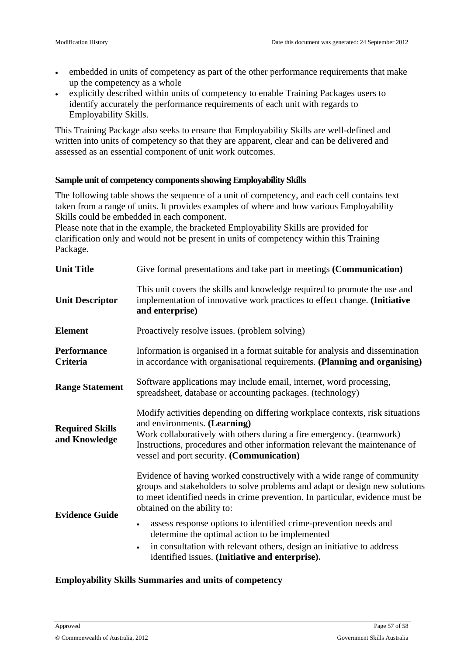- embedded in units of competency as part of the other performance requirements that make up the competency as a whole
- explicitly described within units of competency to enable Training Packages users to identify accurately the performance requirements of each unit with regards to Employability Skills.

This Training Package also seeks to ensure that Employability Skills are well-defined and written into units of competency so that they are apparent, clear and can be delivered and assessed as an essential component of unit work outcomes.

#### **Sample unit of competency componentsshowing Employability Skills**

The following table shows the sequence of a unit of competency, and each cell contains text taken from a range of units. It provides examples of where and how various Employability Skills could be embedded in each component.

Please note that in the example, the bracketed Employability Skills are provided for clarification only and would not be present in units of competency within this Training Package.

| <b>Unit Title</b>                       | Give formal presentations and take part in meetings (Communication)                                                                                                                                                                                                                                                                                                                                                                                                                                                                   |
|-----------------------------------------|---------------------------------------------------------------------------------------------------------------------------------------------------------------------------------------------------------------------------------------------------------------------------------------------------------------------------------------------------------------------------------------------------------------------------------------------------------------------------------------------------------------------------------------|
| <b>Unit Descriptor</b>                  | This unit covers the skills and knowledge required to promote the use and<br>implementation of innovative work practices to effect change. (Initiative<br>and enterprise)                                                                                                                                                                                                                                                                                                                                                             |
| <b>Element</b>                          | Proactively resolve issues. (problem solving)                                                                                                                                                                                                                                                                                                                                                                                                                                                                                         |
| <b>Performance</b><br><b>Criteria</b>   | Information is organised in a format suitable for analysis and dissemination<br>in accordance with organisational requirements. (Planning and organising)                                                                                                                                                                                                                                                                                                                                                                             |
| <b>Range Statement</b>                  | Software applications may include email, internet, word processing,<br>spreadsheet, database or accounting packages. (technology)                                                                                                                                                                                                                                                                                                                                                                                                     |
| <b>Required Skills</b><br>and Knowledge | Modify activities depending on differing workplace contexts, risk situations<br>and environments. (Learning)<br>Work collaboratively with others during a fire emergency. (teamwork)<br>Instructions, procedures and other information relevant the maintenance of<br>vessel and port security. (Communication)                                                                                                                                                                                                                       |
| <b>Evidence Guide</b>                   | Evidence of having worked constructively with a wide range of community<br>groups and stakeholders to solve problems and adapt or design new solutions<br>to meet identified needs in crime prevention. In particular, evidence must be<br>obtained on the ability to:<br>assess response options to identified crime-prevention needs and<br>determine the optimal action to be implemented<br>in consultation with relevant others, design an initiative to address<br>$\bullet$<br>identified issues. (Initiative and enterprise). |

#### **Employability Skills Summaries and units of competency**